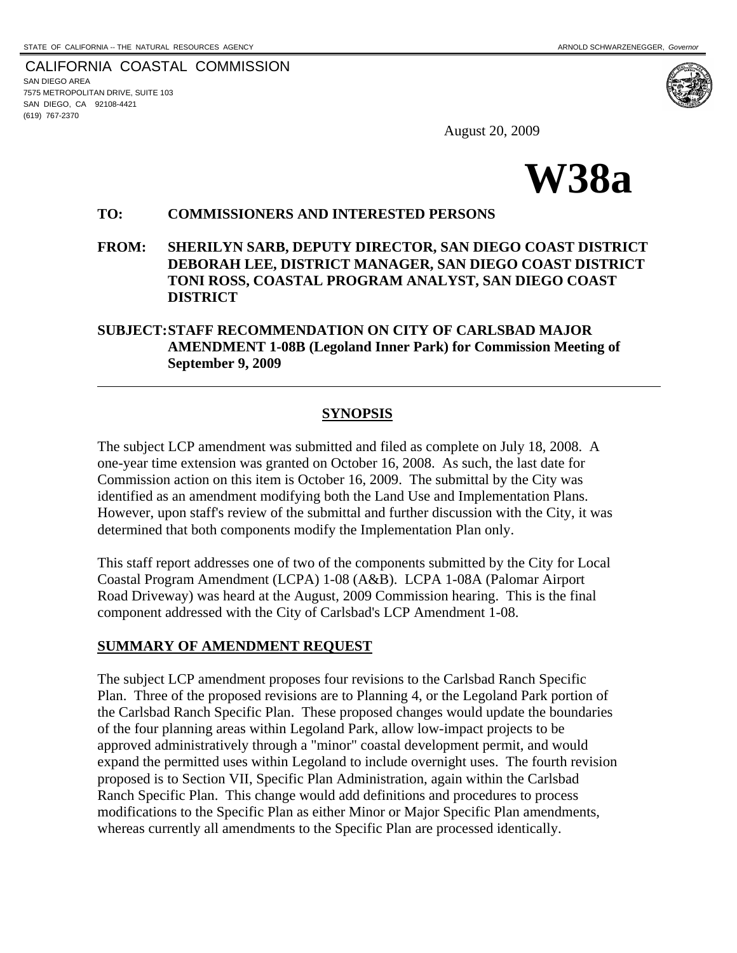CALIFORNIA COASTAL COMMISSION SAN DIEGO AREA 7575 METROPOLITAN DRIVE, SUITE 103 SAN DIEGO, CA 92108-4421 (619) 767-2370

 $\overline{a}$ 

August 20, 2009



#### **TO: COMMISSIONERS AND INTERESTED PERSONS**

**FROM: SHERILYN SARB, DEPUTY DIRECTOR, SAN DIEGO COAST DISTRICT DEBORAH LEE, DISTRICT MANAGER, SAN DIEGO COAST DISTRICT TONI ROSS, COASTAL PROGRAM ANALYST, SAN DIEGO COAST DISTRICT** 

## **SUBJECT: STAFF RECOMMENDATION ON CITY OF CARLSBAD MAJOR AMENDMENT 1-08B (Legoland Inner Park) for Commission Meeting of September 9, 2009**

### **SYNOPSIS**

The subject LCP amendment was submitted and filed as complete on July 18, 2008. A one-year time extension was granted on October 16, 2008. As such, the last date for Commission action on this item is October 16, 2009. The submittal by the City was identified as an amendment modifying both the Land Use and Implementation Plans. However, upon staff's review of the submittal and further discussion with the City, it was determined that both components modify the Implementation Plan only.

This staff report addresses one of two of the components submitted by the City for Local Coastal Program Amendment (LCPA) 1-08 (A&B). LCPA 1-08A (Palomar Airport Road Driveway) was heard at the August, 2009 Commission hearing. This is the final component addressed with the City of Carlsbad's LCP Amendment 1-08.

## **SUMMARY OF AMENDMENT REQUEST**

The subject LCP amendment proposes four revisions to the Carlsbad Ranch Specific Plan. Three of the proposed revisions are to Planning 4, or the Legoland Park portion of the Carlsbad Ranch Specific Plan. These proposed changes would update the boundaries of the four planning areas within Legoland Park, allow low-impact projects to be approved administratively through a "minor" coastal development permit, and would expand the permitted uses within Legoland to include overnight uses. The fourth revision proposed is to Section VII, Specific Plan Administration, again within the Carlsbad Ranch Specific Plan. This change would add definitions and procedures to process modifications to the Specific Plan as either Minor or Major Specific Plan amendments, whereas currently all amendments to the Specific Plan are processed identically.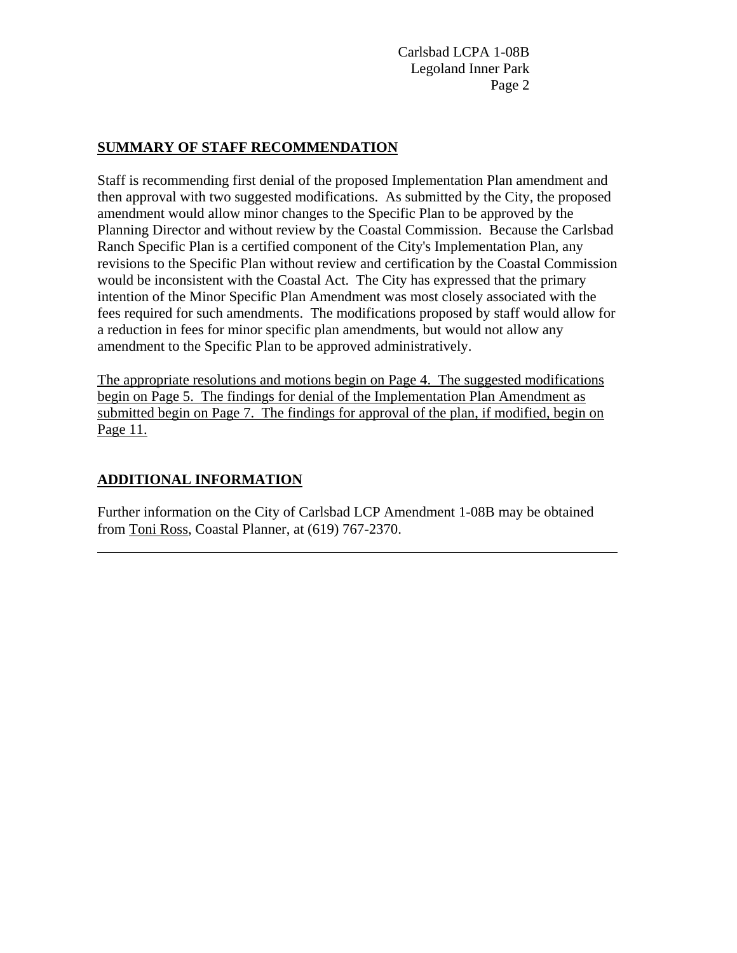#### **SUMMARY OF STAFF RECOMMENDATION**

Staff is recommending first denial of the proposed Implementation Plan amendment and then approval with two suggested modifications. As submitted by the City, the proposed amendment would allow minor changes to the Specific Plan to be approved by the Planning Director and without review by the Coastal Commission. Because the Carlsbad Ranch Specific Plan is a certified component of the City's Implementation Plan, any revisions to the Specific Plan without review and certification by the Coastal Commission would be inconsistent with the Coastal Act. The City has expressed that the primary intention of the Minor Specific Plan Amendment was most closely associated with the fees required for such amendments. The modifications proposed by staff would allow for a reduction in fees for minor specific plan amendments, but would not allow any amendment to the Specific Plan to be approved administratively.

The appropriate resolutions and motions begin on Page 4. The suggested modifications begin on Page 5. The findings for denial of the Implementation Plan Amendment as submitted begin on Page 7. The findings for approval of the plan, if modified, begin on Page 11.

## **ADDITIONAL INFORMATION**

l

Further information on the City of Carlsbad LCP Amendment 1-08B may be obtained from Toni Ross, Coastal Planner, at (619) 767-2370.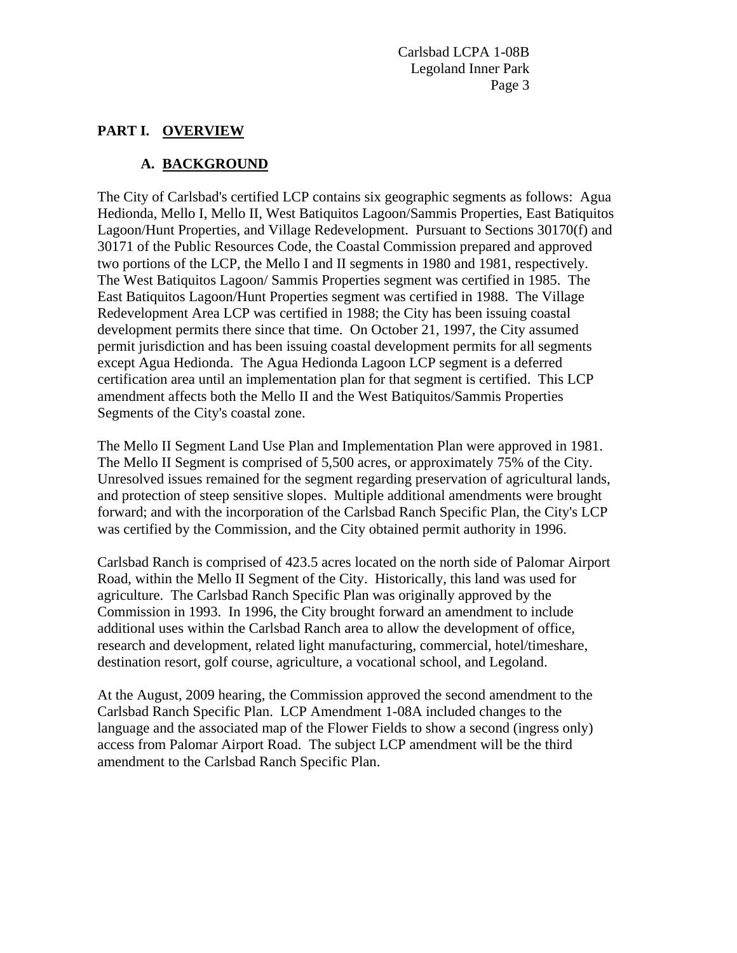### **PART I. OVERVIEW**

## **A. BACKGROUND**

The City of Carlsbad's certified LCP contains six geographic segments as follows: Agua Hedionda, Mello I, Mello II, West Batiquitos Lagoon/Sammis Properties, East Batiquitos Lagoon/Hunt Properties, and Village Redevelopment. Pursuant to Sections 30170(f) and 30171 of the Public Resources Code, the Coastal Commission prepared and approved two portions of the LCP, the Mello I and II segments in 1980 and 1981, respectively. The West Batiquitos Lagoon/ Sammis Properties segment was certified in 1985. The East Batiquitos Lagoon/Hunt Properties segment was certified in 1988. The Village Redevelopment Area LCP was certified in 1988; the City has been issuing coastal development permits there since that time. On October 21, 1997, the City assumed permit jurisdiction and has been issuing coastal development permits for all segments except Agua Hedionda. The Agua Hedionda Lagoon LCP segment is a deferred certification area until an implementation plan for that segment is certified. This LCP amendment affects both the Mello II and the West Batiquitos/Sammis Properties Segments of the City's coastal zone.

The Mello II Segment Land Use Plan and Implementation Plan were approved in 1981. The Mello II Segment is comprised of 5,500 acres, or approximately 75% of the City. Unresolved issues remained for the segment regarding preservation of agricultural lands, and protection of steep sensitive slopes. Multiple additional amendments were brought forward; and with the incorporation of the Carlsbad Ranch Specific Plan, the City's LCP was certified by the Commission, and the City obtained permit authority in 1996.

Carlsbad Ranch is comprised of 423.5 acres located on the north side of Palomar Airport Road, within the Mello II Segment of the City. Historically, this land was used for agriculture. The Carlsbad Ranch Specific Plan was originally approved by the Commission in 1993. In 1996, the City brought forward an amendment to include additional uses within the Carlsbad Ranch area to allow the development of office, research and development, related light manufacturing, commercial, hotel/timeshare, destination resort, golf course, agriculture, a vocational school, and Legoland.

At the August, 2009 hearing, the Commission approved the second amendment to the Carlsbad Ranch Specific Plan. LCP Amendment 1-08A included changes to the language and the associated map of the Flower Fields to show a second (ingress only) access from Palomar Airport Road. The subject LCP amendment will be the third amendment to the Carlsbad Ranch Specific Plan.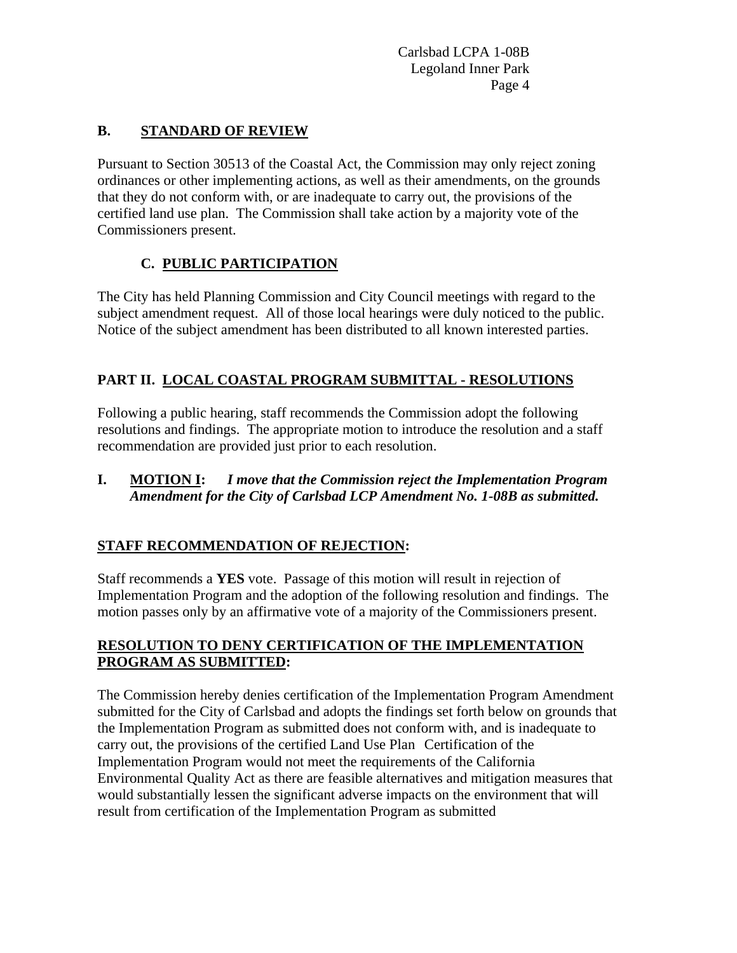# **B. STANDARD OF REVIEW**

Pursuant to Section 30513 of the Coastal Act, the Commission may only reject zoning ordinances or other implementing actions, as well as their amendments, on the grounds that they do not conform with, or are inadequate to carry out, the provisions of the certified land use plan. The Commission shall take action by a majority vote of the Commissioners present.

# **C. PUBLIC PARTICIPATION**

The City has held Planning Commission and City Council meetings with regard to the subject amendment request. All of those local hearings were duly noticed to the public. Notice of the subject amendment has been distributed to all known interested parties.

# **PART II. LOCAL COASTAL PROGRAM SUBMITTAL - RESOLUTIONS**

Following a public hearing, staff recommends the Commission adopt the following resolutions and findings. The appropriate motion to introduce the resolution and a staff recommendation are provided just prior to each resolution.

## **I. MOTION I:** *I move that the Commission reject the Implementation Program Amendment for the City of Carlsbad LCP Amendment No. 1-08B as submitted.*

# **STAFF RECOMMENDATION OF REJECTION:**

Staff recommends a **YES** vote. Passage of this motion will result in rejection of Implementation Program and the adoption of the following resolution and findings. The motion passes only by an affirmative vote of a majority of the Commissioners present.

## **RESOLUTION TO DENY CERTIFICATION OF THE IMPLEMENTATION PROGRAM AS SUBMITTED:**

The Commission hereby denies certification of the Implementation Program Amendment submitted for the City of Carlsbad and adopts the findings set forth below on grounds that the Implementation Program as submitted does not conform with, and is inadequate to carry out, the provisions of the certified Land Use Plan Certification of the Implementation Program would not meet the requirements of the California Environmental Quality Act as there are feasible alternatives and mitigation measures that would substantially lessen the significant adverse impacts on the environment that will result from certification of the Implementation Program as submitted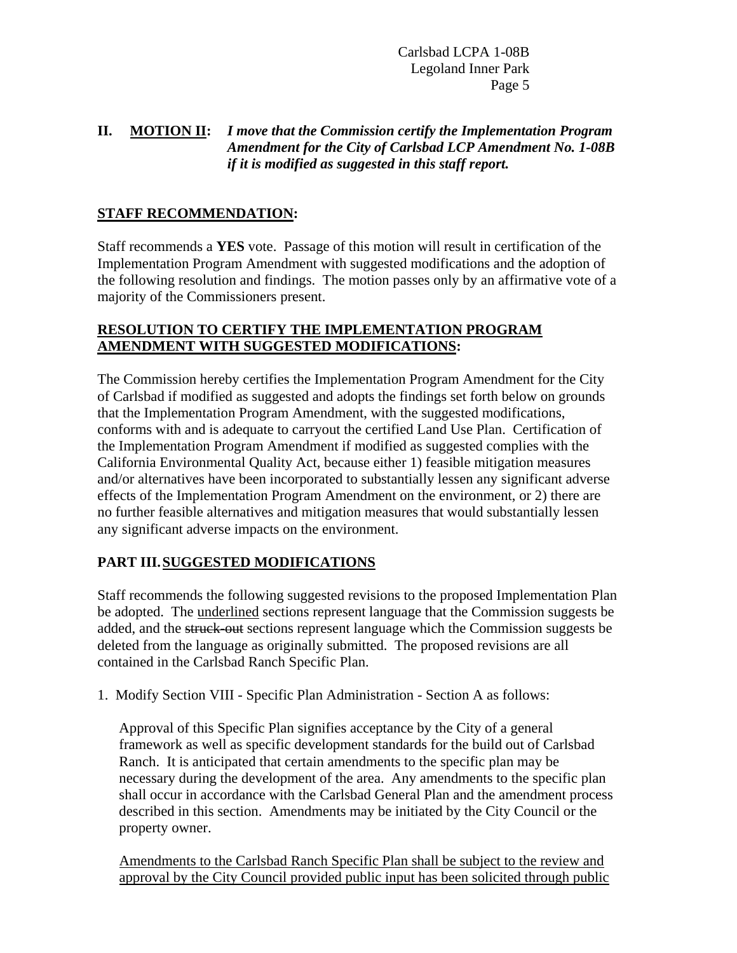# **II. MOTION II:** *I move that the Commission certify the Implementation Program Amendment for the City of Carlsbad LCP Amendment No. 1-08B if it is modified as suggested in this staff report.*

### **STAFF RECOMMENDATION:**

Staff recommends a **YES** vote. Passage of this motion will result in certification of the Implementation Program Amendment with suggested modifications and the adoption of the following resolution and findings. The motion passes only by an affirmative vote of a majority of the Commissioners present.

### **RESOLUTION TO CERTIFY THE IMPLEMENTATION PROGRAM AMENDMENT WITH SUGGESTED MODIFICATIONS:**

The Commission hereby certifies the Implementation Program Amendment for the City of Carlsbad if modified as suggested and adopts the findings set forth below on grounds that the Implementation Program Amendment, with the suggested modifications, conforms with and is adequate to carryout the certified Land Use Plan. Certification of the Implementation Program Amendment if modified as suggested complies with the California Environmental Quality Act, because either 1) feasible mitigation measures and/or alternatives have been incorporated to substantially lessen any significant adverse effects of the Implementation Program Amendment on the environment, or 2) there are no further feasible alternatives and mitigation measures that would substantially lessen any significant adverse impacts on the environment.

## **PART III. SUGGESTED MODIFICATIONS**

Staff recommends the following suggested revisions to the proposed Implementation Plan be adopted. The underlined sections represent language that the Commission suggests be added, and the struck-out sections represent language which the Commission suggests be deleted from the language as originally submitted. The proposed revisions are all contained in the Carlsbad Ranch Specific Plan.

1. Modify Section VIII - Specific Plan Administration - Section A as follows:

Approval of this Specific Plan signifies acceptance by the City of a general framework as well as specific development standards for the build out of Carlsbad Ranch. It is anticipated that certain amendments to the specific plan may be necessary during the development of the area. Any amendments to the specific plan shall occur in accordance with the Carlsbad General Plan and the amendment process described in this section. Amendments may be initiated by the City Council or the property owner.

Amendments to the Carlsbad Ranch Specific Plan shall be subject to the review and approval by the City Council provided public input has been solicited through public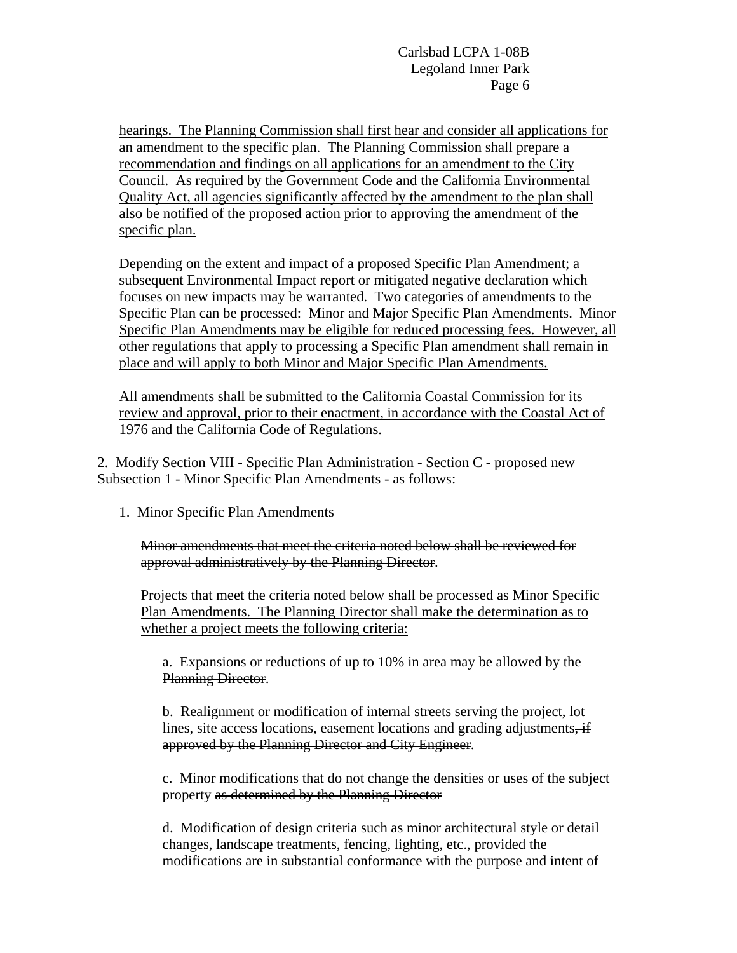hearings. The Planning Commission shall first hear and consider all applications for an amendment to the specific plan. The Planning Commission shall prepare a recommendation and findings on all applications for an amendment to the City Council. As required by the Government Code and the California Environmental Quality Act, all agencies significantly affected by the amendment to the plan shall also be notified of the proposed action prior to approving the amendment of the specific plan.

Depending on the extent and impact of a proposed Specific Plan Amendment; a subsequent Environmental Impact report or mitigated negative declaration which focuses on new impacts may be warranted. Two categories of amendments to the Specific Plan can be processed: Minor and Major Specific Plan Amendments. Minor Specific Plan Amendments may be eligible for reduced processing fees. However, all other regulations that apply to processing a Specific Plan amendment shall remain in place and will apply to both Minor and Major Specific Plan Amendments.

All amendments shall be submitted to the California Coastal Commission for its review and approval, prior to their enactment, in accordance with the Coastal Act of 1976 and the California Code of Regulations.

2. Modify Section VIII - Specific Plan Administration - Section C - proposed new Subsection 1 - Minor Specific Plan Amendments - as follows:

1. Minor Specific Plan Amendments

Minor amendments that meet the criteria noted below shall be reviewed for approval administratively by the Planning Director.

Projects that meet the criteria noted below shall be processed as Minor Specific Plan Amendments. The Planning Director shall make the determination as to whether a project meets the following criteria:

a. Expansions or reductions of up to 10% in area may be allowed by the Planning Director.

b. Realignment or modification of internal streets serving the project, lot lines, site access locations, easement locations and grading adjustments, if approved by the Planning Director and City Engineer.

c. Minor modifications that do not change the densities or uses of the subject property as determined by the Planning Director

d. Modification of design criteria such as minor architectural style or detail changes, landscape treatments, fencing, lighting, etc., provided the modifications are in substantial conformance with the purpose and intent of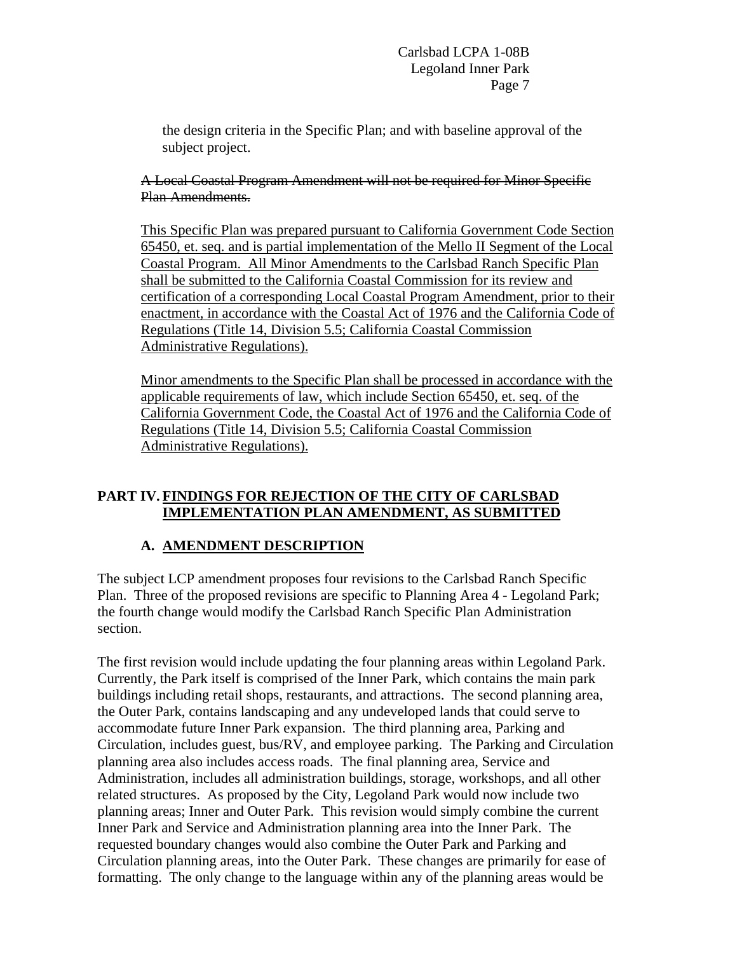the design criteria in the Specific Plan; and with baseline approval of the subject project.

A Local Coastal Program Amendment will not be required for Minor Specific Plan Amendments.

This Specific Plan was prepared pursuant to California Government Code Section 65450, et. seq. and is partial implementation of the Mello II Segment of the Local Coastal Program. All Minor Amendments to the Carlsbad Ranch Specific Plan shall be submitted to the California Coastal Commission for its review and certification of a corresponding Local Coastal Program Amendment, prior to their enactment, in accordance with the Coastal Act of 1976 and the California Code of Regulations (Title 14, Division 5.5; California Coastal Commission Administrative Regulations).

Minor amendments to the Specific Plan shall be processed in accordance with the applicable requirements of law, which include Section 65450, et. seq. of the California Government Code, the Coastal Act of 1976 and the California Code of Regulations (Title 14, Division 5.5; California Coastal Commission Administrative Regulations).

## **PART IV. FINDINGS FOR REJECTION OF THE CITY OF CARLSBAD IMPLEMENTATION PLAN AMENDMENT, AS SUBMITTED**

# **A. AMENDMENT DESCRIPTION**

The subject LCP amendment proposes four revisions to the Carlsbad Ranch Specific Plan. Three of the proposed revisions are specific to Planning Area 4 - Legoland Park; the fourth change would modify the Carlsbad Ranch Specific Plan Administration section.

The first revision would include updating the four planning areas within Legoland Park. Currently, the Park itself is comprised of the Inner Park, which contains the main park buildings including retail shops, restaurants, and attractions. The second planning area, the Outer Park, contains landscaping and any undeveloped lands that could serve to accommodate future Inner Park expansion. The third planning area, Parking and Circulation, includes guest, bus/RV, and employee parking. The Parking and Circulation planning area also includes access roads. The final planning area, Service and Administration, includes all administration buildings, storage, workshops, and all other related structures. As proposed by the City, Legoland Park would now include two planning areas; Inner and Outer Park. This revision would simply combine the current Inner Park and Service and Administration planning area into the Inner Park. The requested boundary changes would also combine the Outer Park and Parking and Circulation planning areas, into the Outer Park. These changes are primarily for ease of formatting. The only change to the language within any of the planning areas would be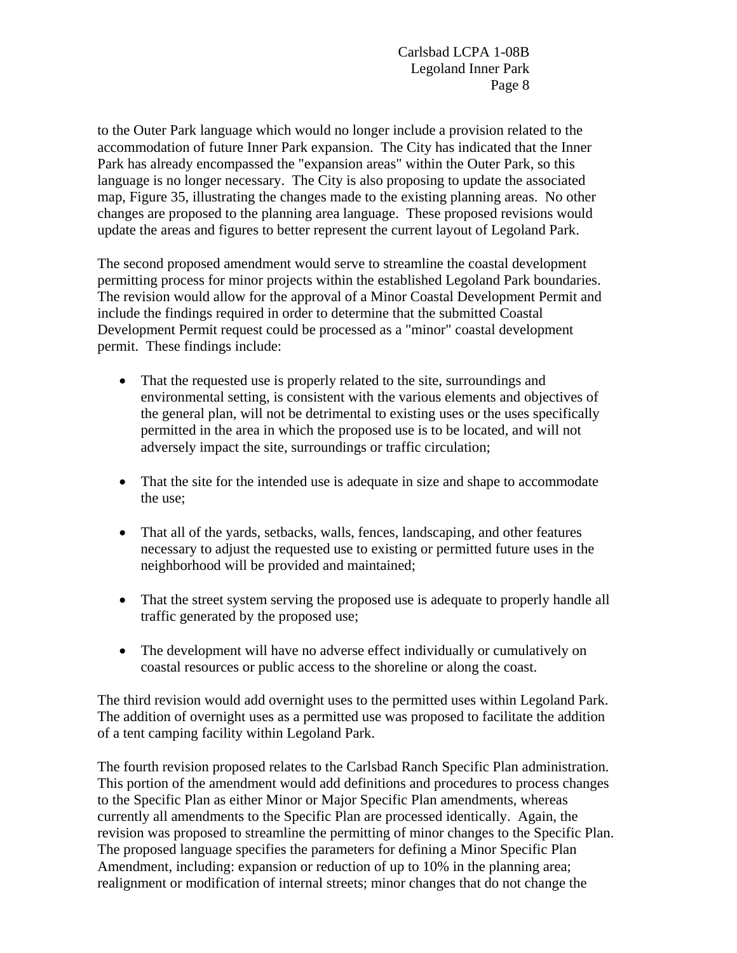to the Outer Park language which would no longer include a provision related to the accommodation of future Inner Park expansion. The City has indicated that the Inner Park has already encompassed the "expansion areas" within the Outer Park, so this language is no longer necessary. The City is also proposing to update the associated map, Figure 35, illustrating the changes made to the existing planning areas. No other changes are proposed to the planning area language. These proposed revisions would update the areas and figures to better represent the current layout of Legoland Park.

The second proposed amendment would serve to streamline the coastal development permitting process for minor projects within the established Legoland Park boundaries. The revision would allow for the approval of a Minor Coastal Development Permit and include the findings required in order to determine that the submitted Coastal Development Permit request could be processed as a "minor" coastal development permit. These findings include:

- That the requested use is properly related to the site, surroundings and environmental setting, is consistent with the various elements and objectives of the general plan, will not be detrimental to existing uses or the uses specifically permitted in the area in which the proposed use is to be located, and will not adversely impact the site, surroundings or traffic circulation;
- That the site for the intended use is adequate in size and shape to accommodate the use;
- That all of the yards, setbacks, walls, fences, landscaping, and other features necessary to adjust the requested use to existing or permitted future uses in the neighborhood will be provided and maintained;
- That the street system serving the proposed use is adequate to properly handle all traffic generated by the proposed use;
- The development will have no adverse effect individually or cumulatively on coastal resources or public access to the shoreline or along the coast.

The third revision would add overnight uses to the permitted uses within Legoland Park. The addition of overnight uses as a permitted use was proposed to facilitate the addition of a tent camping facility within Legoland Park.

The fourth revision proposed relates to the Carlsbad Ranch Specific Plan administration. This portion of the amendment would add definitions and procedures to process changes to the Specific Plan as either Minor or Major Specific Plan amendments, whereas currently all amendments to the Specific Plan are processed identically. Again, the revision was proposed to streamline the permitting of minor changes to the Specific Plan. The proposed language specifies the parameters for defining a Minor Specific Plan Amendment, including: expansion or reduction of up to 10% in the planning area; realignment or modification of internal streets; minor changes that do not change the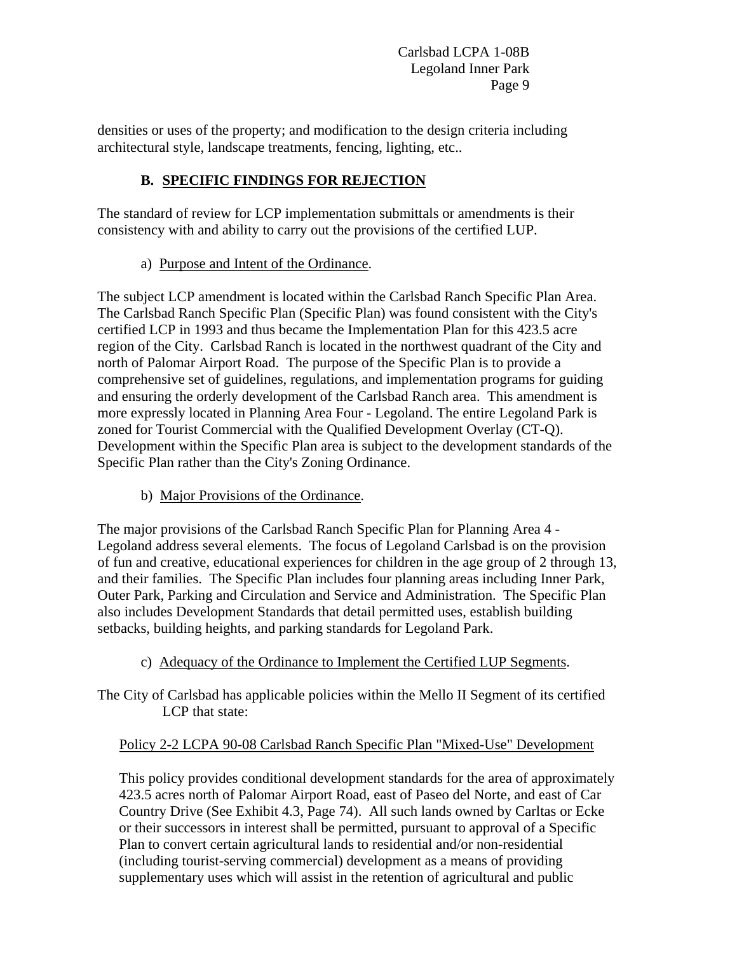densities or uses of the property; and modification to the design criteria including architectural style, landscape treatments, fencing, lighting, etc..

# **B. SPECIFIC FINDINGS FOR REJECTION**

The standard of review for LCP implementation submittals or amendments is their consistency with and ability to carry out the provisions of the certified LUP.

a) Purpose and Intent of the Ordinance.

The subject LCP amendment is located within the Carlsbad Ranch Specific Plan Area. The Carlsbad Ranch Specific Plan (Specific Plan) was found consistent with the City's certified LCP in 1993 and thus became the Implementation Plan for this 423.5 acre region of the City. Carlsbad Ranch is located in the northwest quadrant of the City and north of Palomar Airport Road. The purpose of the Specific Plan is to provide a comprehensive set of guidelines, regulations, and implementation programs for guiding and ensuring the orderly development of the Carlsbad Ranch area. This amendment is more expressly located in Planning Area Four - Legoland. The entire Legoland Park is zoned for Tourist Commercial with the Qualified Development Overlay (CT-Q). Development within the Specific Plan area is subject to the development standards of the Specific Plan rather than the City's Zoning Ordinance.

b) Major Provisions of the Ordinance.

The major provisions of the Carlsbad Ranch Specific Plan for Planning Area 4 - Legoland address several elements. The focus of Legoland Carlsbad is on the provision of fun and creative, educational experiences for children in the age group of 2 through 13, and their families. The Specific Plan includes four planning areas including Inner Park, Outer Park, Parking and Circulation and Service and Administration. The Specific Plan also includes Development Standards that detail permitted uses, establish building setbacks, building heights, and parking standards for Legoland Park.

- c) Adequacy of the Ordinance to Implement the Certified LUP Segments.
- The City of Carlsbad has applicable policies within the Mello II Segment of its certified LCP that state:

## Policy 2-2 LCPA 90-08 Carlsbad Ranch Specific Plan "Mixed-Use" Development

This policy provides conditional development standards for the area of approximately 423.5 acres north of Palomar Airport Road, east of Paseo del Norte, and east of Car Country Drive (See Exhibit 4.3, Page 74). All such lands owned by Carltas or Ecke or their successors in interest shall be permitted, pursuant to approval of a Specific Plan to convert certain agricultural lands to residential and/or non-residential (including tourist-serving commercial) development as a means of providing supplementary uses which will assist in the retention of agricultural and public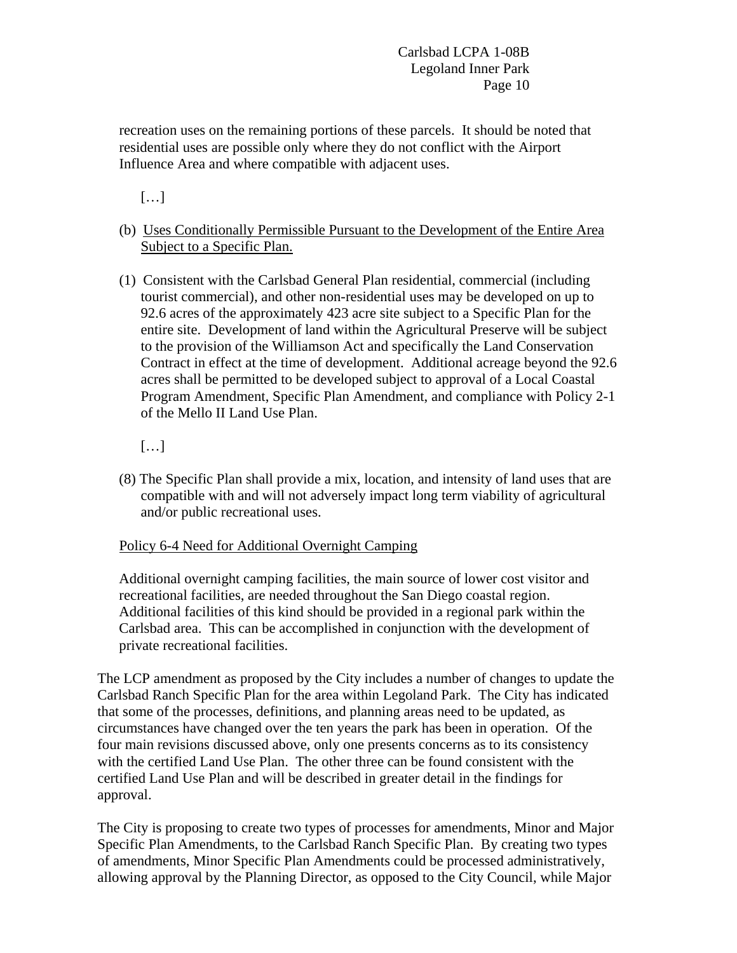recreation uses on the remaining portions of these parcels. It should be noted that residential uses are possible only where they do not conflict with the Airport Influence Area and where compatible with adjacent uses.

[…]

- (b) Uses Conditionally Permissible Pursuant to the Development of the Entire Area Subject to a Specific Plan.
- (1) Consistent with the Carlsbad General Plan residential, commercial (including tourist commercial), and other non-residential uses may be developed on up to 92.6 acres of the approximately 423 acre site subject to a Specific Plan for the entire site. Development of land within the Agricultural Preserve will be subject to the provision of the Williamson Act and specifically the Land Conservation Contract in effect at the time of development. Additional acreage beyond the 92.6 acres shall be permitted to be developed subject to approval of a Local Coastal Program Amendment, Specific Plan Amendment, and compliance with Policy 2-1 of the Mello II Land Use Plan.
	- […]
- (8) The Specific Plan shall provide a mix, location, and intensity of land uses that are compatible with and will not adversely impact long term viability of agricultural and/or public recreational uses.

## Policy 6-4 Need for Additional Overnight Camping

Additional overnight camping facilities, the main source of lower cost visitor and recreational facilities, are needed throughout the San Diego coastal region. Additional facilities of this kind should be provided in a regional park within the Carlsbad area. This can be accomplished in conjunction with the development of private recreational facilities.

The LCP amendment as proposed by the City includes a number of changes to update the Carlsbad Ranch Specific Plan for the area within Legoland Park. The City has indicated that some of the processes, definitions, and planning areas need to be updated, as circumstances have changed over the ten years the park has been in operation. Of the four main revisions discussed above, only one presents concerns as to its consistency with the certified Land Use Plan. The other three can be found consistent with the certified Land Use Plan and will be described in greater detail in the findings for approval.

The City is proposing to create two types of processes for amendments, Minor and Major Specific Plan Amendments, to the Carlsbad Ranch Specific Plan. By creating two types of amendments, Minor Specific Plan Amendments could be processed administratively, allowing approval by the Planning Director, as opposed to the City Council, while Major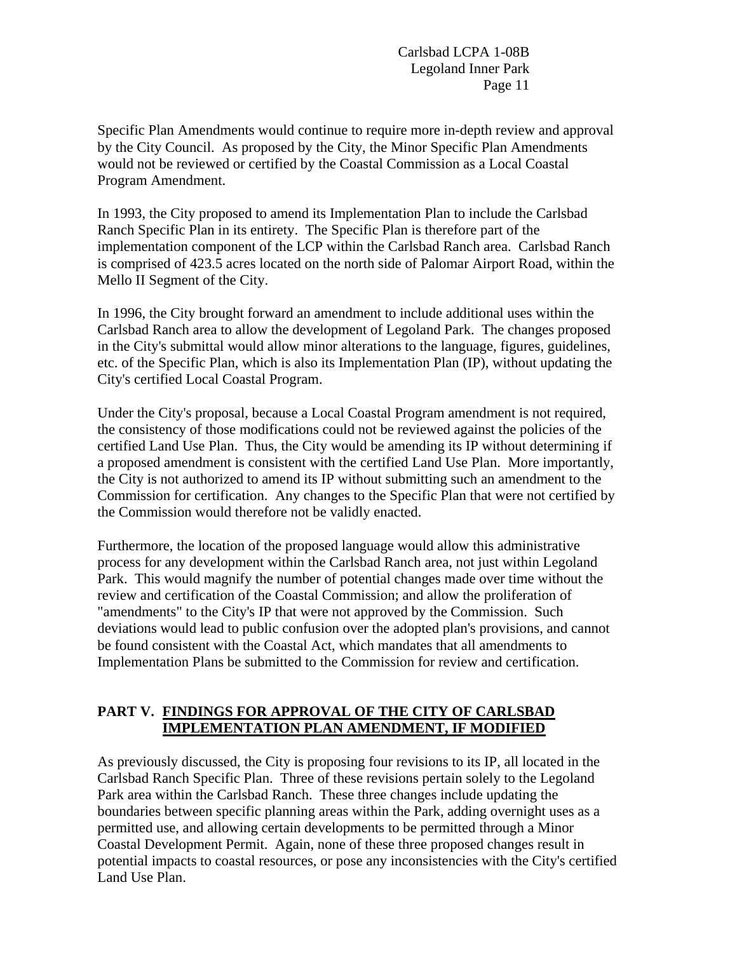Specific Plan Amendments would continue to require more in-depth review and approval by the City Council. As proposed by the City, the Minor Specific Plan Amendments would not be reviewed or certified by the Coastal Commission as a Local Coastal Program Amendment.

In 1993, the City proposed to amend its Implementation Plan to include the Carlsbad Ranch Specific Plan in its entirety. The Specific Plan is therefore part of the implementation component of the LCP within the Carlsbad Ranch area. Carlsbad Ranch is comprised of 423.5 acres located on the north side of Palomar Airport Road, within the Mello II Segment of the City.

In 1996, the City brought forward an amendment to include additional uses within the Carlsbad Ranch area to allow the development of Legoland Park. The changes proposed in the City's submittal would allow minor alterations to the language, figures, guidelines, etc. of the Specific Plan, which is also its Implementation Plan (IP), without updating the City's certified Local Coastal Program.

Under the City's proposal, because a Local Coastal Program amendment is not required, the consistency of those modifications could not be reviewed against the policies of the certified Land Use Plan. Thus, the City would be amending its IP without determining if a proposed amendment is consistent with the certified Land Use Plan. More importantly, the City is not authorized to amend its IP without submitting such an amendment to the Commission for certification. Any changes to the Specific Plan that were not certified by the Commission would therefore not be validly enacted.

Furthermore, the location of the proposed language would allow this administrative process for any development within the Carlsbad Ranch area, not just within Legoland Park. This would magnify the number of potential changes made over time without the review and certification of the Coastal Commission; and allow the proliferation of "amendments" to the City's IP that were not approved by the Commission. Such deviations would lead to public confusion over the adopted plan's provisions, and cannot be found consistent with the Coastal Act, which mandates that all amendments to Implementation Plans be submitted to the Commission for review and certification.

### **PART V. FINDINGS FOR APPROVAL OF THE CITY OF CARLSBAD IMPLEMENTATION PLAN AMENDMENT, IF MODIFIED**

As previously discussed, the City is proposing four revisions to its IP, all located in the Carlsbad Ranch Specific Plan. Three of these revisions pertain solely to the Legoland Park area within the Carlsbad Ranch. These three changes include updating the boundaries between specific planning areas within the Park, adding overnight uses as a permitted use, and allowing certain developments to be permitted through a Minor Coastal Development Permit. Again, none of these three proposed changes result in potential impacts to coastal resources, or pose any inconsistencies with the City's certified Land Use Plan.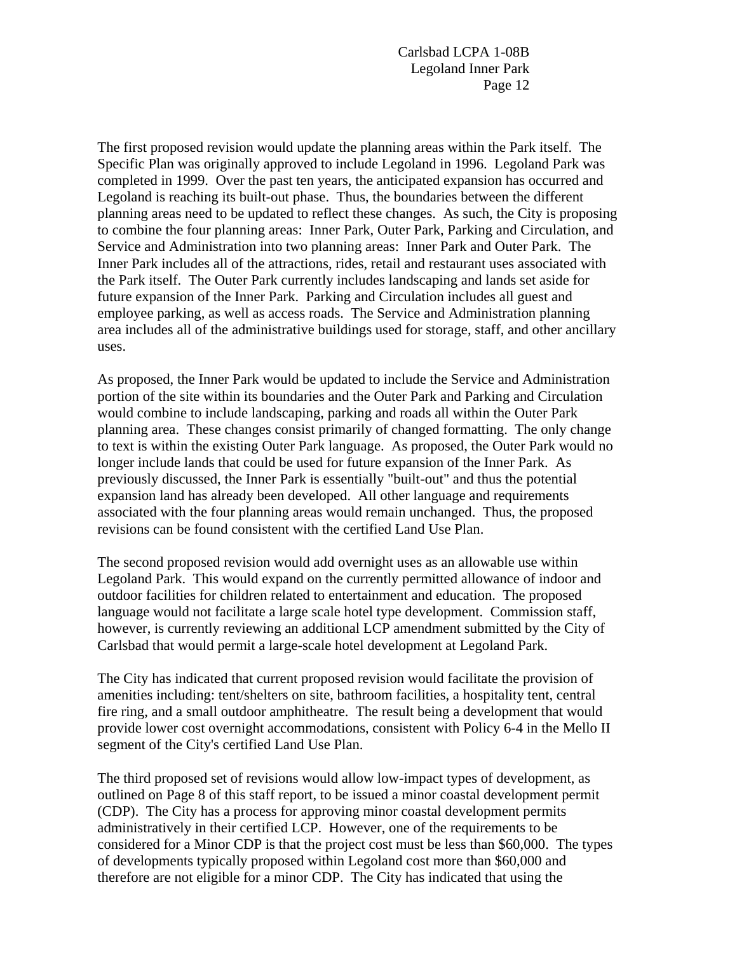The first proposed revision would update the planning areas within the Park itself. The Specific Plan was originally approved to include Legoland in 1996. Legoland Park was completed in 1999. Over the past ten years, the anticipated expansion has occurred and Legoland is reaching its built-out phase. Thus, the boundaries between the different planning areas need to be updated to reflect these changes. As such, the City is proposing to combine the four planning areas: Inner Park, Outer Park, Parking and Circulation, and Service and Administration into two planning areas: Inner Park and Outer Park. The Inner Park includes all of the attractions, rides, retail and restaurant uses associated with the Park itself. The Outer Park currently includes landscaping and lands set aside for future expansion of the Inner Park. Parking and Circulation includes all guest and employee parking, as well as access roads. The Service and Administration planning area includes all of the administrative buildings used for storage, staff, and other ancillary uses.

As proposed, the Inner Park would be updated to include the Service and Administration portion of the site within its boundaries and the Outer Park and Parking and Circulation would combine to include landscaping, parking and roads all within the Outer Park planning area. These changes consist primarily of changed formatting. The only change to text is within the existing Outer Park language. As proposed, the Outer Park would no longer include lands that could be used for future expansion of the Inner Park. As previously discussed, the Inner Park is essentially "built-out" and thus the potential expansion land has already been developed. All other language and requirements associated with the four planning areas would remain unchanged. Thus, the proposed revisions can be found consistent with the certified Land Use Plan.

The second proposed revision would add overnight uses as an allowable use within Legoland Park. This would expand on the currently permitted allowance of indoor and outdoor facilities for children related to entertainment and education. The proposed language would not facilitate a large scale hotel type development. Commission staff, however, is currently reviewing an additional LCP amendment submitted by the City of Carlsbad that would permit a large-scale hotel development at Legoland Park.

The City has indicated that current proposed revision would facilitate the provision of amenities including: tent/shelters on site, bathroom facilities, a hospitality tent, central fire ring, and a small outdoor amphitheatre. The result being a development that would provide lower cost overnight accommodations, consistent with Policy 6-4 in the Mello II segment of the City's certified Land Use Plan.

The third proposed set of revisions would allow low-impact types of development, as outlined on Page 8 of this staff report, to be issued a minor coastal development permit (CDP). The City has a process for approving minor coastal development permits administratively in their certified LCP. However, one of the requirements to be considered for a Minor CDP is that the project cost must be less than \$60,000. The types of developments typically proposed within Legoland cost more than \$60,000 and therefore are not eligible for a minor CDP. The City has indicated that using the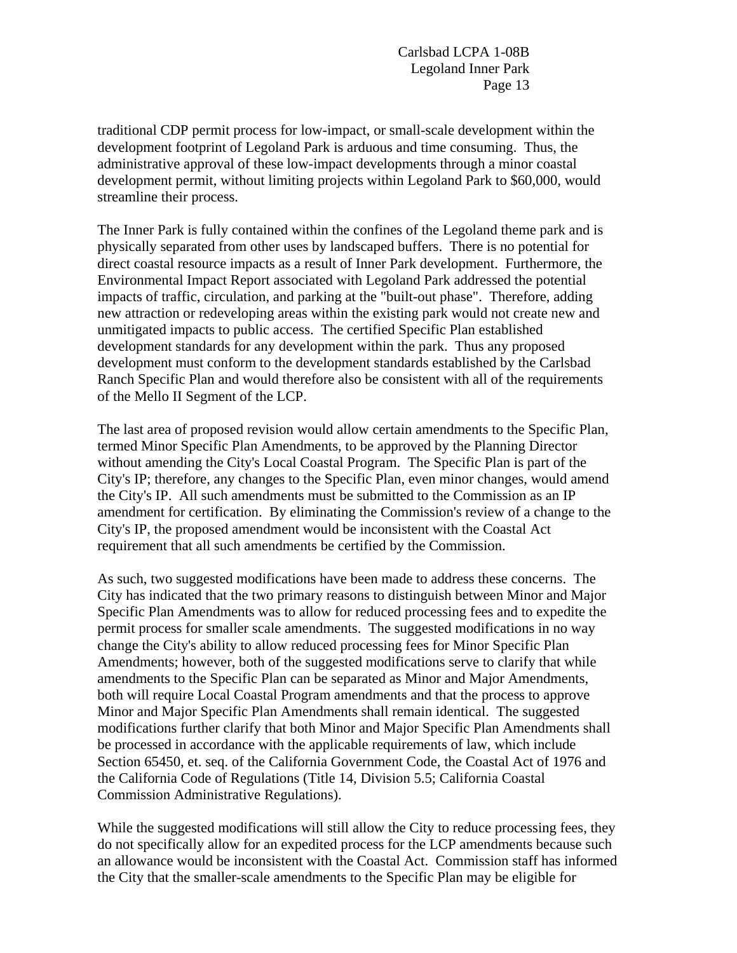traditional CDP permit process for low-impact, or small-scale development within the development footprint of Legoland Park is arduous and time consuming. Thus, the administrative approval of these low-impact developments through a minor coastal development permit, without limiting projects within Legoland Park to \$60,000, would streamline their process.

The Inner Park is fully contained within the confines of the Legoland theme park and is physically separated from other uses by landscaped buffers. There is no potential for direct coastal resource impacts as a result of Inner Park development. Furthermore, the Environmental Impact Report associated with Legoland Park addressed the potential impacts of traffic, circulation, and parking at the "built-out phase". Therefore, adding new attraction or redeveloping areas within the existing park would not create new and unmitigated impacts to public access. The certified Specific Plan established development standards for any development within the park. Thus any proposed development must conform to the development standards established by the Carlsbad Ranch Specific Plan and would therefore also be consistent with all of the requirements of the Mello II Segment of the LCP.

The last area of proposed revision would allow certain amendments to the Specific Plan, termed Minor Specific Plan Amendments, to be approved by the Planning Director without amending the City's Local Coastal Program. The Specific Plan is part of the City's IP; therefore, any changes to the Specific Plan, even minor changes, would amend the City's IP. All such amendments must be submitted to the Commission as an IP amendment for certification. By eliminating the Commission's review of a change to the City's IP, the proposed amendment would be inconsistent with the Coastal Act requirement that all such amendments be certified by the Commission.

As such, two suggested modifications have been made to address these concerns. The City has indicated that the two primary reasons to distinguish between Minor and Major Specific Plan Amendments was to allow for reduced processing fees and to expedite the permit process for smaller scale amendments. The suggested modifications in no way change the City's ability to allow reduced processing fees for Minor Specific Plan Amendments; however, both of the suggested modifications serve to clarify that while amendments to the Specific Plan can be separated as Minor and Major Amendments, both will require Local Coastal Program amendments and that the process to approve Minor and Major Specific Plan Amendments shall remain identical. The suggested modifications further clarify that both Minor and Major Specific Plan Amendments shall be processed in accordance with the applicable requirements of law, which include Section 65450, et. seq. of the California Government Code, the Coastal Act of 1976 and the California Code of Regulations (Title 14, Division 5.5; California Coastal Commission Administrative Regulations).

While the suggested modifications will still allow the City to reduce processing fees, they do not specifically allow for an expedited process for the LCP amendments because such an allowance would be inconsistent with the Coastal Act. Commission staff has informed the City that the smaller-scale amendments to the Specific Plan may be eligible for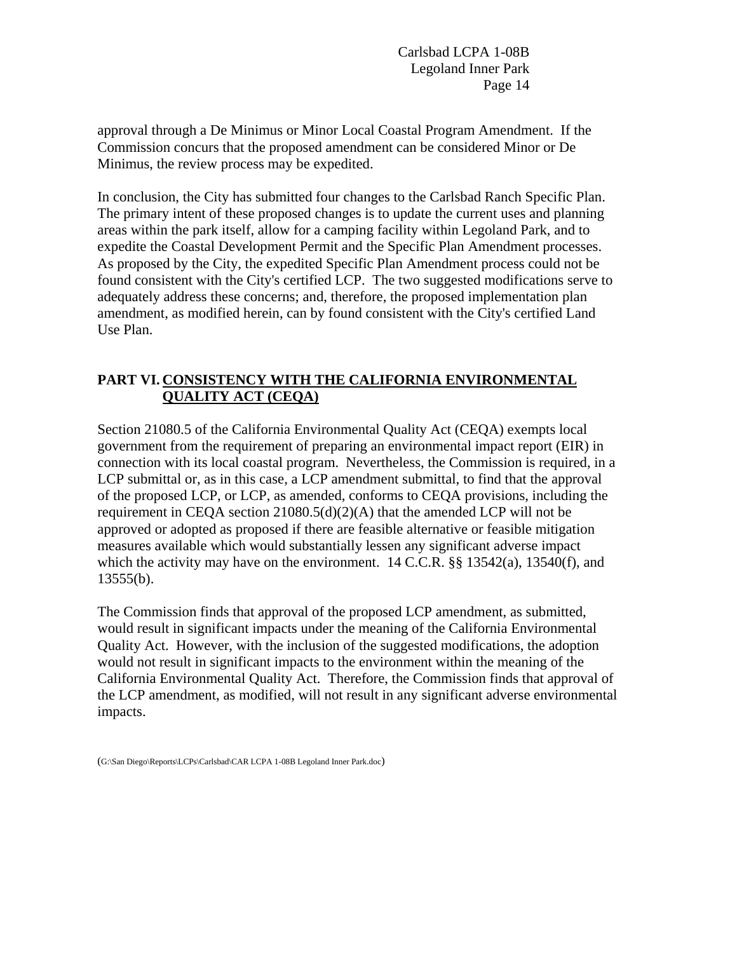approval through a De Minimus or Minor Local Coastal Program Amendment. If the Commission concurs that the proposed amendment can be considered Minor or De Minimus, the review process may be expedited.

In conclusion, the City has submitted four changes to the Carlsbad Ranch Specific Plan. The primary intent of these proposed changes is to update the current uses and planning areas within the park itself, allow for a camping facility within Legoland Park, and to expedite the Coastal Development Permit and the Specific Plan Amendment processes. As proposed by the City, the expedited Specific Plan Amendment process could not be found consistent with the City's certified LCP. The two suggested modifications serve to adequately address these concerns; and, therefore, the proposed implementation plan amendment, as modified herein, can by found consistent with the City's certified Land Use Plan.

### **PART VI. CONSISTENCY WITH THE CALIFORNIA ENVIRONMENTAL QUALITY ACT (CEQA)**

Section 21080.5 of the California Environmental Quality Act (CEQA) exempts local government from the requirement of preparing an environmental impact report (EIR) in connection with its local coastal program. Nevertheless, the Commission is required, in a LCP submittal or, as in this case, a LCP amendment submittal, to find that the approval of the proposed LCP, or LCP, as amended, conforms to CEQA provisions, including the requirement in CEQA section  $21080.5(d)(2)(A)$  that the amended LCP will not be approved or adopted as proposed if there are feasible alternative or feasible mitigation measures available which would substantially lessen any significant adverse impact which the activity may have on the environment. 14 C.C.R. §§ 13542(a), 13540(f), and 13555(b).

The Commission finds that approval of the proposed LCP amendment, as submitted, would result in significant impacts under the meaning of the California Environmental Quality Act. However, with the inclusion of the suggested modifications, the adoption would not result in significant impacts to the environment within the meaning of the California Environmental Quality Act. Therefore, the Commission finds that approval of the LCP amendment, as modified, will not result in any significant adverse environmental impacts.

<sup>(</sup>G:\San Diego\Reports\LCPs\Carlsbad\CAR LCPA 1-08B Legoland Inner Park.doc)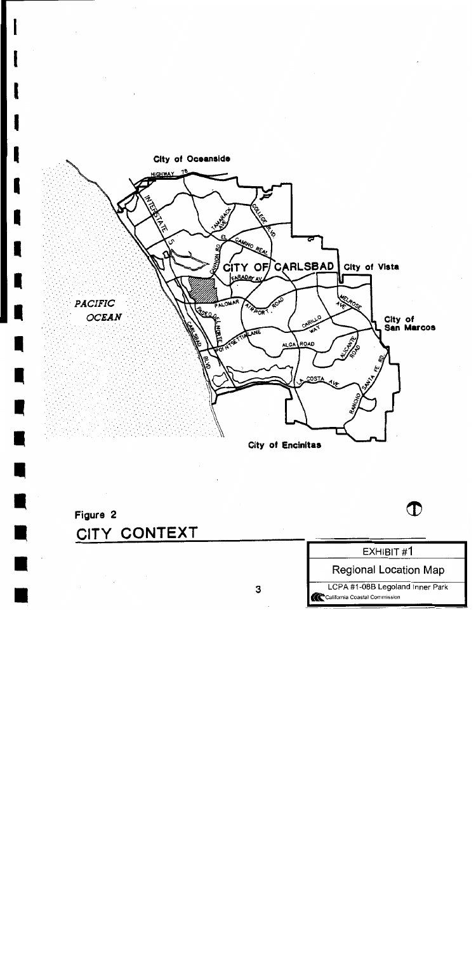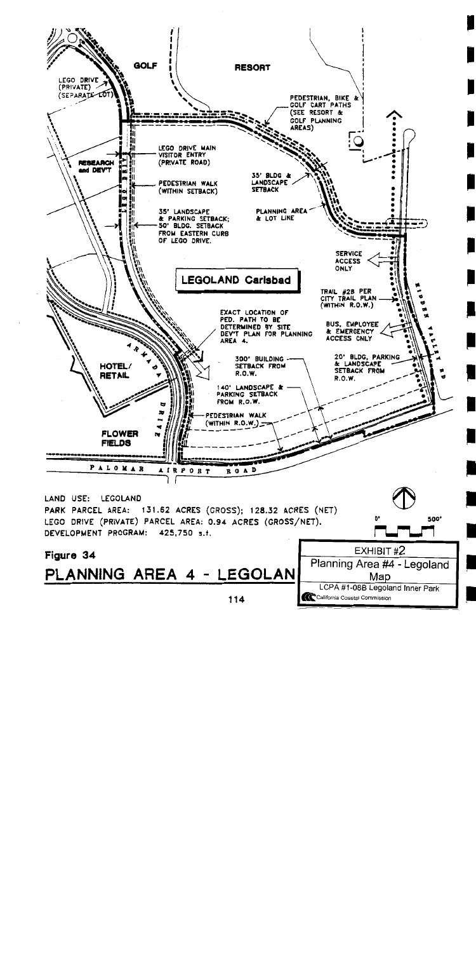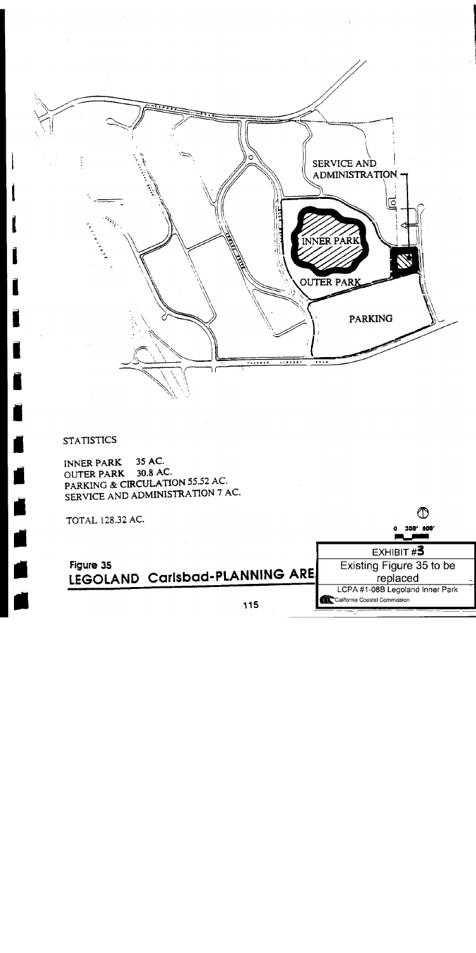

# **STATISTICS**

35 AC. **INNER PARK** 30.8 AC. **OUTER PARK** PARKING & CIRCULATION 55.52 AC. SERVICE AND ADMINISTRATION 7 AC.

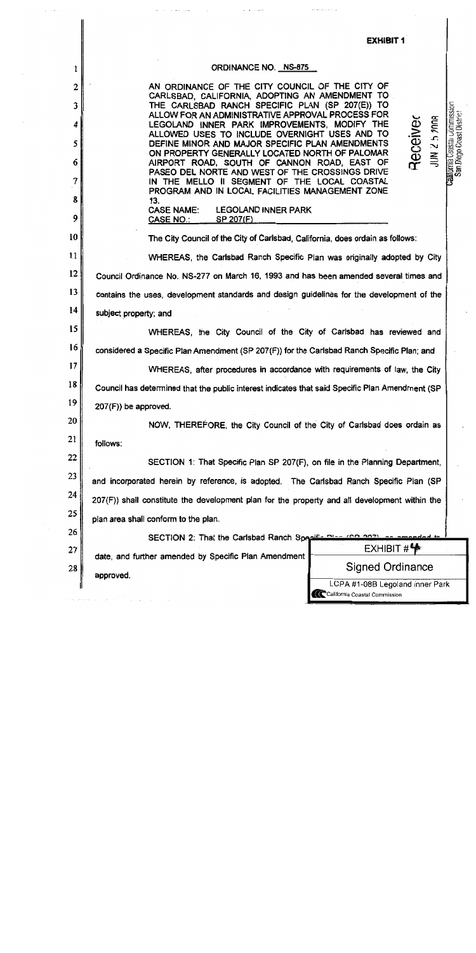|                | <b>EXHIBIT 1</b>                                                                                                                                                                                                                                        |
|----------------|---------------------------------------------------------------------------------------------------------------------------------------------------------------------------------------------------------------------------------------------------------|
| 1              | <b>ORDINANCE NO. NS-875</b>                                                                                                                                                                                                                             |
| $\overline{2}$ | AN ORDINANCE OF THE CITY COUNCIL OF THE CITY OF                                                                                                                                                                                                         |
| 3              | CARLSBAD, CALIFORNIA, ADOPTING AN AMENDMENT TO<br>THE CARLSBAD RANCH SPECIFIC PLAN (SP 207(E)) TO<br>ALLOW FOR AN ADMINISTRATIVE APPROVAL PROCESS FOR                                                                                                   |
| 4<br>5         | <b>Californi</b> a Coastaí Gommission<br><b>San Diego Coast Dist</b> rict<br>JUN 25 2008<br>Receive<br>LEGOLAND INNER PARK IMPROVEMENTS, MODIFY THE<br>ALLOWED USES TO INCLUDE OVERNIGHT USES AND TO<br>DEFINE MINOR AND MAJOR SPECIFIC PLAN AMENDMENTS |
| 6              | ON PROPERTY GENERALLY LOCATED NORTH OF PALOMAR<br>AIRPORT ROAD, SOUTH OF CANNON ROAD, EAST OF                                                                                                                                                           |
| 7              | PASEO DEL NORTE AND WEST OF THE CROSSINGS DRIVE<br>IN THE MELLO II SEGMENT OF THE LOCAL COASTAL<br>PROGRAM AND IN LOCAL FACILITIES MANAGEMENT ZONE                                                                                                      |
| 8              | 13.                                                                                                                                                                                                                                                     |
| 9              | <b>CASE NAME:</b><br><b>LEGOLAND INNER PARK</b><br>CASE NO.:<br>SP 207(F)                                                                                                                                                                               |
| 10             | The City Council of the City of Carlsbad, California, does ordain as follows:                                                                                                                                                                           |
| 11             | WHEREAS, the Carlsbad Ranch Specific Plan was originally adopted by City                                                                                                                                                                                |
| 12             | Council Ordinance No. NS-277 on March 16, 1993 and has been amended several times and                                                                                                                                                                   |
| 13             | contains the uses, development standards and design guidelines for the development of the                                                                                                                                                               |
| 14             | subject property; and                                                                                                                                                                                                                                   |
| 15             | WHEREAS, the City Council of the City of Carlsbad has reviewed and                                                                                                                                                                                      |
| 16             | considered a Specific Plan Amendment (SP 207(F)) for the Carlsbad Ranch Specific Plan; and                                                                                                                                                              |
| 17             | WHEREAS, after procedures in accordance with requirements of law, the City                                                                                                                                                                              |
| 18             | Council has determined that the public interest indicates that said Specific Plan Amendment (SP                                                                                                                                                         |
| 19             | $207(F)$ ) be approved.                                                                                                                                                                                                                                 |
| 20             | NOW, THEREFORE, the City Council of the City of Carlsbad does ordain as                                                                                                                                                                                 |
| 21             | follows:                                                                                                                                                                                                                                                |
| 22             | SECTION 1: That Specific Plan SP 207(F), on file in the Planning Department,                                                                                                                                                                            |
| 23             | and incorporated herein by reference, is adopted. The Carlsbad Ranch Specific Plan (SP                                                                                                                                                                  |
| 24             | 207(F)) shall constitute the development plan for the property and all development within the                                                                                                                                                           |
| 25             | plan area shall conform to the plan.                                                                                                                                                                                                                    |
| 26             | SECTION 2: That the Carlsbad Ranch Specific Plan (CR 207).                                                                                                                                                                                              |
| 27             | EXHIBIT H<br>date, and further amended by Specific Plan Amendment                                                                                                                                                                                       |
| 28             | Signed Ordinance<br>approved.                                                                                                                                                                                                                           |
|                | LCPA #1-08B Legoland Inner Park<br>California Coastal Commission                                                                                                                                                                                        |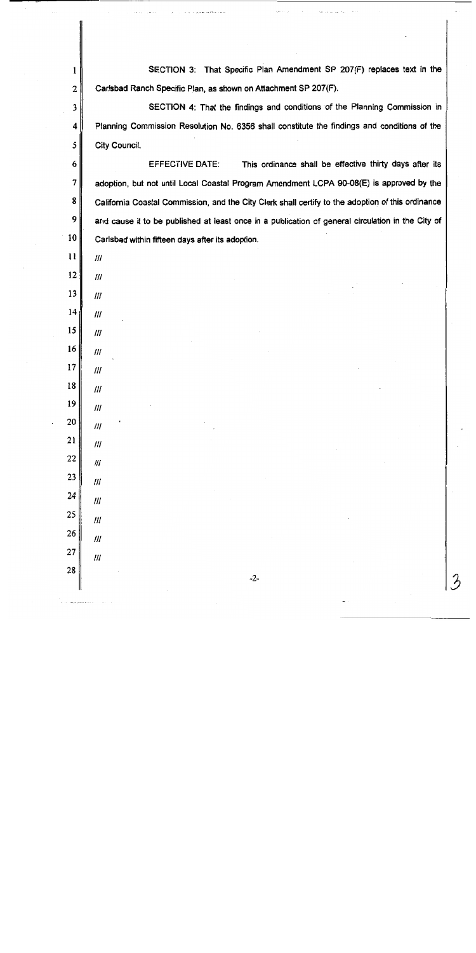SECTION 3: That Specific Plan Amendment SP 207(F) replaces text in the Carlsbad Ranch Specific Plan, as shown on Attachment SP 207(F).

SECTION 4: That the findings and conditions of the Planning Commission in Planning Commission Resolution No. 6356 shall constitute the findings and conditions of the City Council.

**EFFECTIVE DATE:** This ordinance shall be effective thirty days after its adoption, but not until Local Coastal Program Amendment LCPA 90-08(E) is approved by the California Coastal Commission, and the City Clerk shall certify to the adoption of this ordinance and cause it to be published at least once in a publication of general circulation in the City of Carlsbad within fifteen days after its adoption.

 $\mathbf{1}$ 

 $\overline{2}$ 

 $\mathbf{3}$ 

 $\overline{\mathbf{4}}$ 

5

6

 $7\overline{ }$ 

8

9

10

11

 $III$ 

 $III$ 

 $III$ 

 $III$ 

 $III$ 

 $I\!I\!I$ 

 $III$ 

 $III$ 

 $III$ 

 $III$ 

 $III$ 

 $III$ 

 $III$ 

 $III$ 

 $III$ 

111

 $III$ 

25

26

27

28

 $-2-$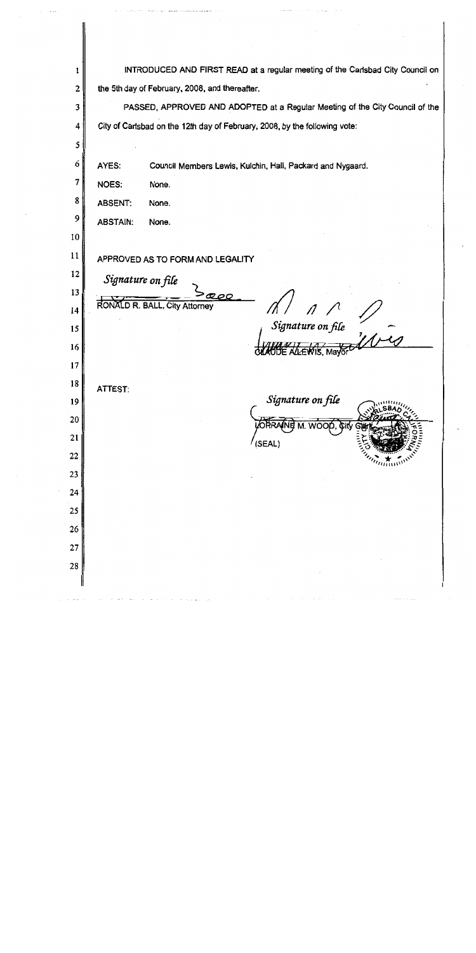INTRODUCED AND FIRST READ at a regular meeting of the Carlsbad City Council on  $\mathbf{1}$  $\overline{2}$ the 5th day of February, 2008, and thereafter.  $\overline{\mathbf{3}}$ PASSED, APPROVED AND ADOPTED at a Regular Meeting of the City Council of the City of Carlsbad on the 12th day of February, 2008, by the following vote: 4 5 6 AYES: Council Members Lewis, Kulchin, Hall, Packard and Nygaard.  $\overline{7}$ NOES: None. 8 **ABSENT:** None. 9 **ABSTAIN:** None. 10 11 APPROVED AS TO FORM AND LEGALITY 12 Signature on file 13 RONALD R. BALL, City Attorney  $14$ Signature on file  $15$ 16  $17$ 18 ATTEST: Signature on file 19 20 21 (SEAL) 22 23 24 25 26 27 28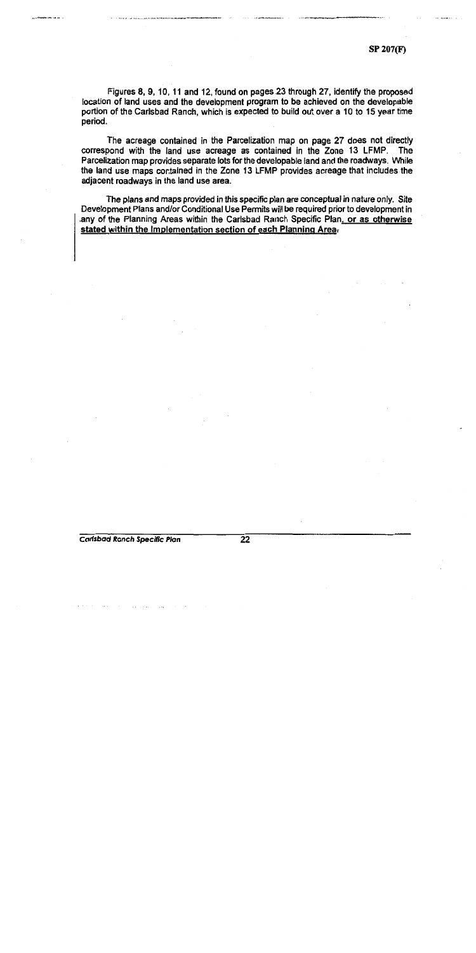SP 207(F)

Figures 8, 9, 10, 11 and 12, found on pages 23 through 27, identify the proposed location of land uses and the development program to be achieved on the developable portion of the Carlsbad Ranch, which is expected to build out over a 10 to 15 year time period.

The acreage contained in the Parcelization map on page 27 does not directly correspond with the land use acreage as contained in the Zone 13 LFMP. The Parcelization map provides separate lots for the developable land and the roadways. While the land use maps contained in the Zone 13 LFMP provides acreage that includes the adjacent roadways in the land use area.

The plans and maps provided in this specific plan are conceptual in nature only. Site Development Plans and/or Conditional Use Permits will be required prior to development in any of the Planning Areas within the Carlsbad Ranch Specific Plan, or as otherwise stated within the Implementation section of each Planning Area-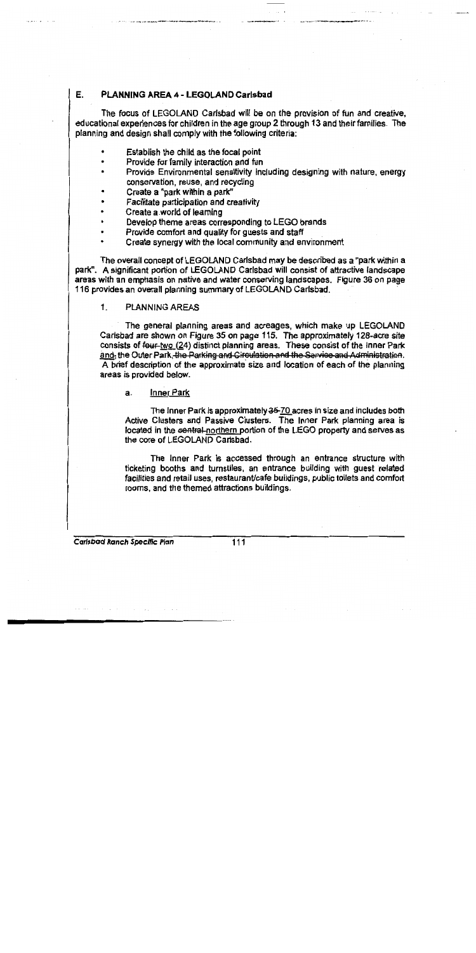#### Ε. PLANNING AREA 4 - LEGOLAND Carlsbad

The focus of LEGOLAND Carlsbad will be on the provision of fun and creative, educational experiences for children in the age group 2 through 13 and their families. The planning and design shall comply with the following criteria:

- Establish the child as the focal point
- Provide for family interaction and fun
- Provide Environmental sensitivity including designing with nature, energy conservation, reuse, and recycling
- Create a "park within a park"
- Facilitate participation and creativity
- Create a world of learning
- Develop theme areas corresponding to LEGO brands
- Provide comfort and quality for quests and staff
- Create synergy with the local community and environment

The overall concept of LEGOLAND Carlsbad may be described as a "park within a park". A significant portion of LEGOLAND Carlsbad will consist of attractive landscape areas with an emphasis on native and water conserving landscapes. Figure 36 on page 116 provides an overall planning summary of LEGOLAND Carlsbad.

#### **PLANNING AREAS**  $\mathbf{1}$

The general planning areas and acreages, which make up LEGOLAND Carlsbad are shown on Figure 35 on page 115. The approximately 128-acre site consists of four-two (24) distinct planning areas. These consist of the Inner Park and, the Outer Park, the Parking and Circulation and the Service and Administration. A brief description of the approximate size and location of each of the planning areas is provided below.

a. **Inner Park** 

The Inner Park is approximately 35-70 acres in size and includes both Active Clusters and Passive Clusters. The Inner Park planning area is located in the central-northern portion of the LEGO property and serves as the core of LEGOLAND Carlsbad.

The Inner Park is accessed through an entrance structure with ticketing booths and turnstiles, an entrance building with quest related facilities and retail uses, restaurant/cafe buildings, public toilets and comfort rooms, and the themed attractions buildings.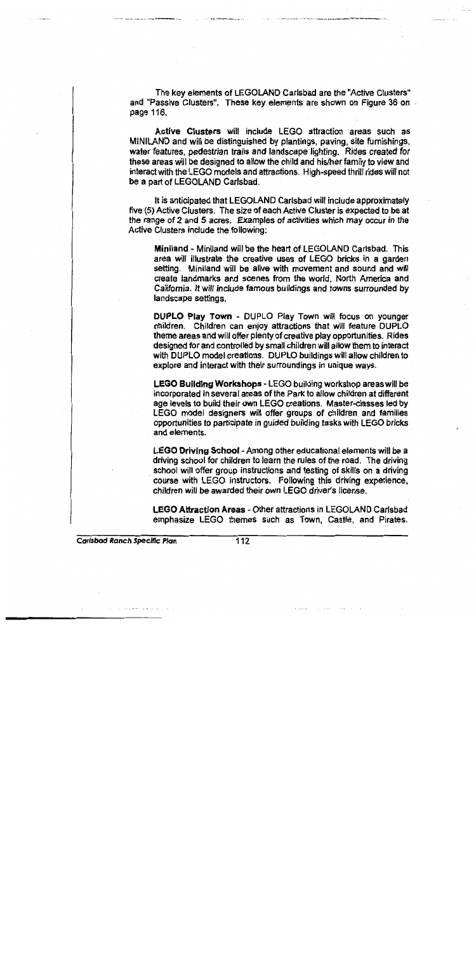The key elements of LEGOLAND Carlsbad are the "Active Clusters" and "Passive Clusters". These key elements are shown on Figure 36 on page 116.

Active Clusters will include LEGO attraction areas such as MINILAND and will be distinguished by plantings, paving, site furnishings, water features, pedestrian trails and landscape lighting. Rides created for these areas will be designed to allow the child and his/her family to view and interact with the LEGO models and attractions. High-speed thrill rides will not be a part of LEGOLAND Carlsbad.

It is anticipated that LEGOLAND Carlsbad will include approximately five (5) Active Clusters. The size of each Active Cluster is expected to be at the range of 2 and 5 acres. Examples of activities which may occur in the Active Clusters include the following:

Miniland - Miniland will be the heart of LEGOLAND Carlsbad. This area will illustrate the creative uses of LEGO bricks in a garden setting. Miniland will be alive with movement and sound and will create landmarks and scenes from the world, North America and California. It will include famous buildings and towns surrounded by landscape settings.

DUPLO Play Town - DUPLO Play Town will focus on younger children. Children can enjoy attractions that will feature DUPLO theme areas and will offer plenty of creative play opportunities. Rides designed for and controlled by small children will allow them to interact with DUPLO model creations. DUPLO buildings will allow children to explore and interact with their surroundings in unique ways.

LEGO Building Workshops - LEGO building workshop areas will be incorporated in several areas of the Park to allow children at different age levels to build their own LEGO creations. Master-classes led by LEGO model designers will offer groups of children and families opportunities to participate in guided building tasks with LEGO bricks and elements.

LEGO Driving School - Among other educational elements will be a driving school for children to learn the rules of the road. The driving school will offer group instructions and testing of skills on a driving course with LEGO instructors. Following this driving experience, children will be awarded their own LEGO driver's license.

**LEGO Attraction Areas - Other attractions in LEGOLAND Carlsbad** emphasize LEGO themes such as Town, Castle, and Pirates.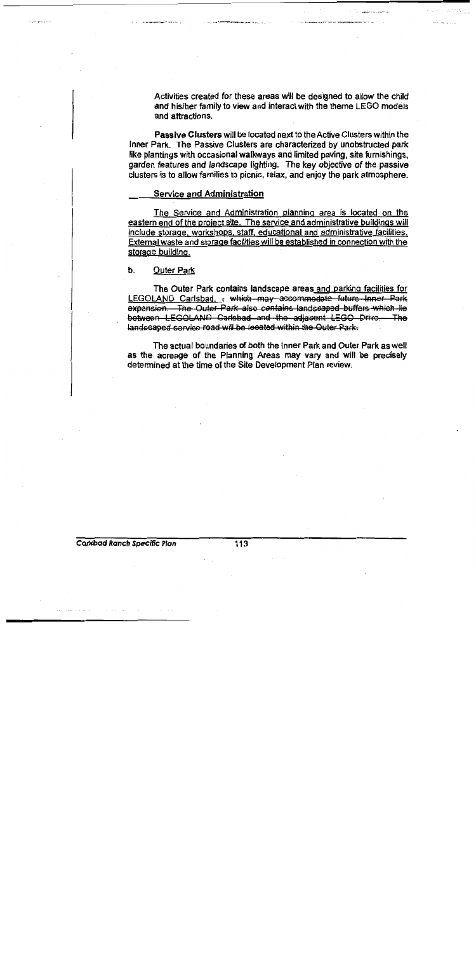Activities created for these areas will be designed to allow the child and his/her family to view and interact with the theme LEGO models and attractions.

**Passive Clusters will be located next to the Active Clusters within the** Inner Park. The Passive Clusters are characterized by unobstructed park like plantings with occasional walkways and limited paving, site furnishings, garden features and landscape lighting. The key objective of the passive clusters is to allow families to picnic, relax, and enjoy the park atmosphere.

#### **Service and Administration**

The Service and Administration planning area is located on the eastern end of the project site. The service and administrative buildings will include storage, workshops, staff, educational and administrative facilities, External waste and storage facilities will be established in connection with the storage building.

#### b. **Outer Park**

The Outer Park contains landscape areas and parking facilities for LEGOLAND Carlsbad. - which may accommodate future Inner Park expansion. The Outer Park also contains landscaped buffers which lie between LEGOLAND Carlsbad and the adjacent LEGO Drive. The landscaped service road will be located within the Outer Park.

The actual boundaries of both the Inner Park and Outer Park as well as the acreage of the Planning Areas may vary and will be precisely determined at the time of the Site Development Plan review.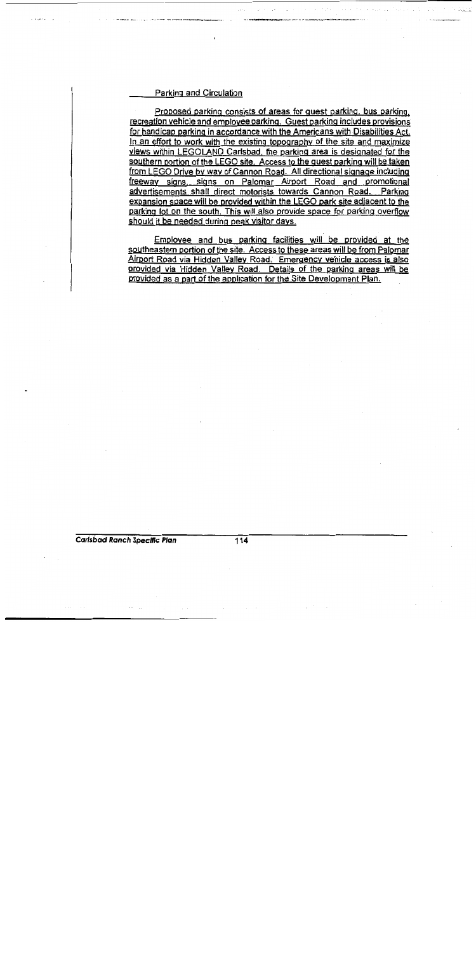#### Parking and Circulation

Proposed parking consists of areas for quest parking, bus parking, recreation vehicle and employee parking. Guest parking includes provisions for handicap parking in accordance with the Americans with Disabilities Act. In an effort to work with the existing topography of the site and maximize views within LEGOLAND Carlsbad, the parking area is designated for the southern portion of the LEGO site. Access to the quest parking will be taken from LEGO Drive by way of Cannon Road. All directional signage including freeway signs, signs on Palomar Airport Road and promotional advertisements shall direct motorists towards Cannon Road. Parking expansion space will be provided within the LEGO park site adjacent to the parking lot on the south. This will also provide space for parking overflow should it be needed during peak visitor days.

Employee and bus parking facilities will be provided at the southeastern portion of the site. Access to these areas will be from Palomar Airport Road via Hidden Valley Road. Emergency vehicle access is also provided via Hidden Valley Road. Details of the parking areas will be provided as a part of the application for the Site Development Plan.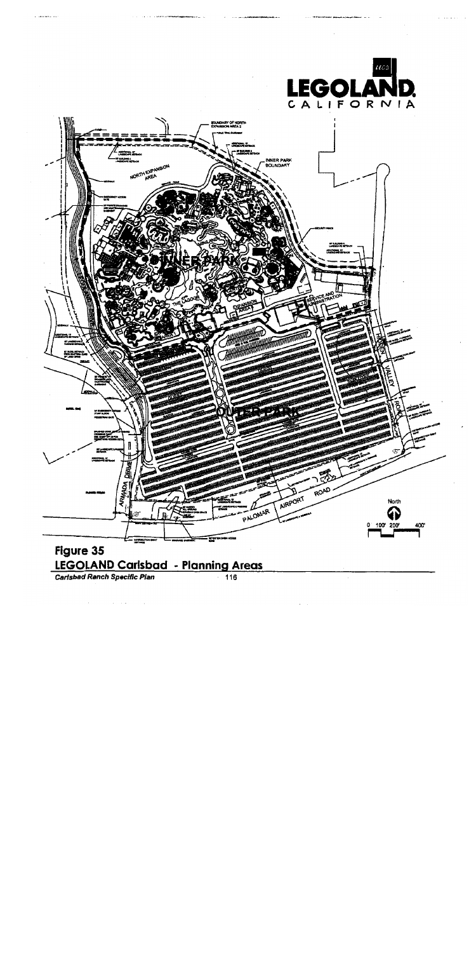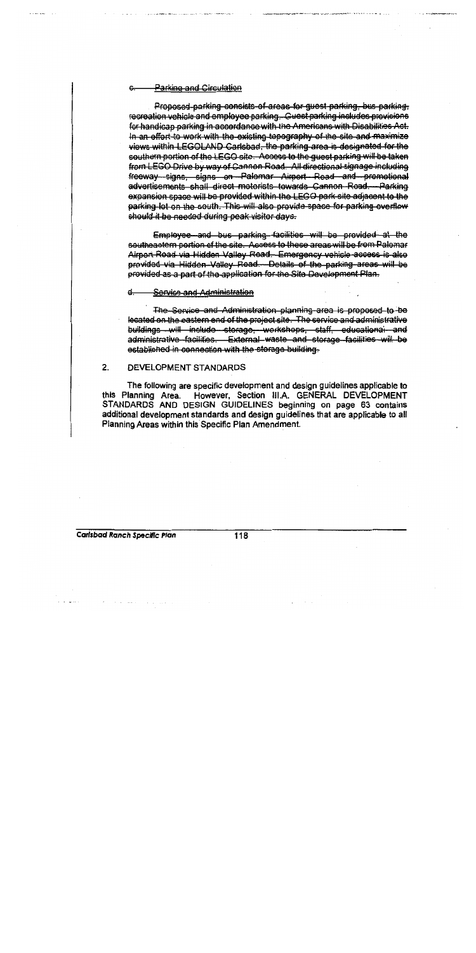#### **Parking and Circulation**

Proposed parking consists of areas for guest parking, bus parking, recreation vehicle and employee parking. Guest parking includes provisions for handicap parking in accordance with the Americans with Disabilities Act. In an effert to work with the existing topography of the site and maximize views within LEGOLAND Carlsbad, the parking area is designated for the southern portion of the LEGO site. Access to the quest parking will be taken from LEGO Drive by way of Cannon Road. All directional signage including freeway signs, signs on Palomar Airport Road and promotional advertisements shall direct motorists towards Cannon Road. - Parking expansion space will be provided within the LEGO park site adjacent to the parking lot on the south. This will also provide space for parking overflow should it be needed during peak visitor days.

Employee and bus parking facilities will be provided at the southeastern portion of the site. Access to these areas will be from Palomar Airport Road via Hidden Valley Road. Emergency vehicle access is also provided via Hidden-Valley Road. Details of the parking areas will be provided as a part of the application for the Site Development Plan.

**Service and Administration** 

The Service and Administration planning area is proposed to be located on the eastern end of the project site. The service and administrative buildings will include storage, workshops, staff, educational and administrative facilities. External waste and storage facilities will be established in connection with the storage building.

#### $2.$ DEVELOPMENT STANDARDS

The following are specific development and design guidelines applicable to However, Section III A. GENERAL DEVELOPMENT this Planning Area. STANDARDS AND DESIGN GUIDELINES beginning on page 63 contains additional development standards and design guidelines that are applicable to all Planning Areas within this Specific Plan Amendment.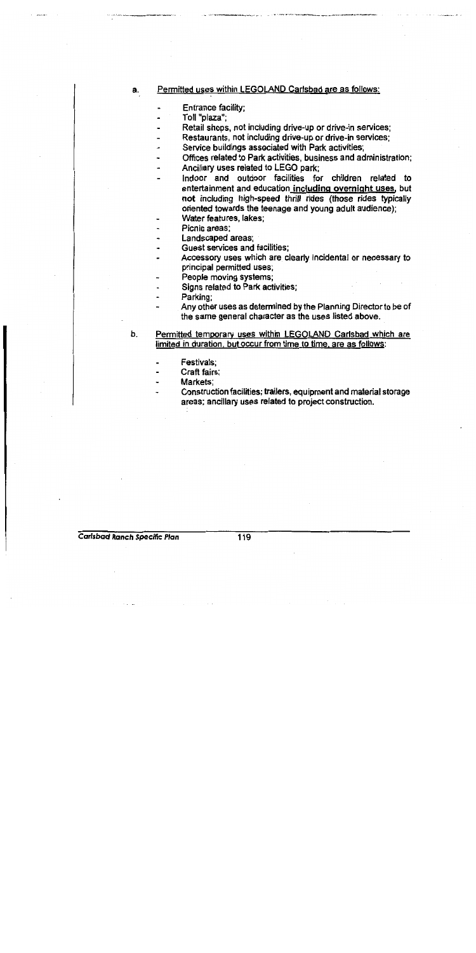#### Permitted uses within LEGOLAND Carlsbad are as follows: a.

- Entrance facility;
- Toll "plaza":
- Retail shops, not including drive-up or drive-in services;
- Restaurants, not including drive-up or drive-in services;
- Service buildings associated with Park activities;
- Offices related to Park activities, business and administration;
- Ancillary uses related to LEGO park;
- Indoor and outdoor facilities for children related to entertainment and education including overnight uses, but not including high-speed thrill rides (those rides typically oriented towards the teenage and young adult audience);
- Water features, lakes:
- Picnic areas:
- Landscaped areas:
- Guest services and facilities;
- Accessory uses which are clearly incidental or necessary to principal permitted uses:
- People moving systems;
- Signs related to Park activities;
- Parking;
	- Any other uses as determined by the Planning Director to be of the same general character as the uses listed above.
- Permitted temporary uses within LEGOLAND Carlsbad which are b. limited in duration, but occur from time to time, are as follows:
	- Festivals:
	- Craft fairs:
	- Markets:
	- Construction facilities; trailers, equipment and material storage areas; ancillary uses related to project construction.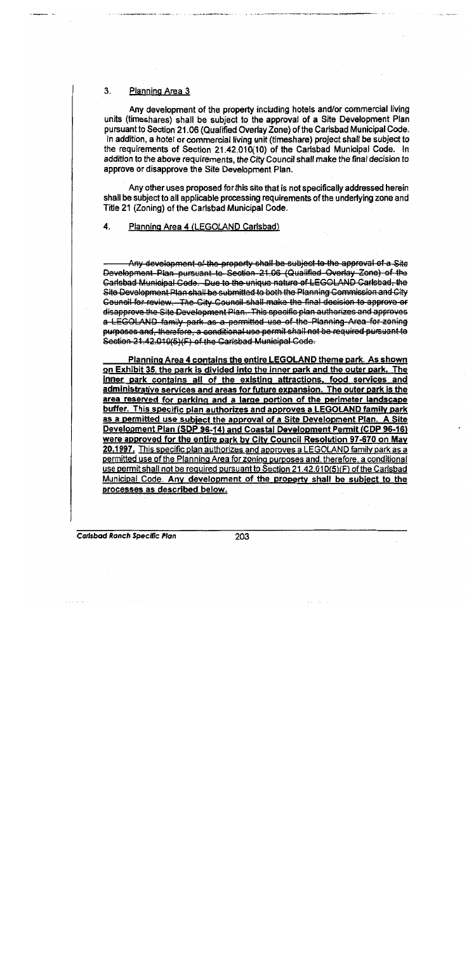#### $3.$ Planning Area 3

Any development of the property including hotels and/or commercial living units (timeshares) shall be subject to the approval of a Site Development Plan pursuant to Section 21.06 (Qualified Overlay Zone) of the Carlsbad Municipal Code. In addition, a hotel or commercial living unit (timeshare) project shall be subject to the requirements of Section 21.42.010(10) of the Carlsbad Municipal Code. In addition to the above requirements, the City Council shall make the final decision to approve or disapprove the Site Development Plan.

Any other uses proposed for this site that is not specifically addressed herein shall be subject to all applicable processing requirements of the underlying zone and Title 21 (Zoning) of the Carlsbad Municipal Code.

#### 4. Planning Area 4 (LEGOLAND Carlsbad)

Any development of the property shall be subject to the approval of a Site Development Plan pursuant to Section 21.06 (Qualified Overlay Zone) of the Garlsbad Municipal Code. Due to the unique nature of LEGOLAND Carlsbad, the Site Development Plan shall be submitted to both the Planning Commission and City Council for review. The City Council shall make the final decision to approve or disapprove the Site Development Plan. This specific plan authorizes and approves a LEGOLAND family park as a permitted use of the Planning Area for zoning purposes and, therefore, a conditional use permit shall not be required pursuant to Section 21.42.010(5)(F) of the Carlsbad Municipal Code.

Planning Area 4 contains the entire LEGOLAND theme park. As shown on Exhibit 35, the park is divided into the inner park and the outer park. The inner park contains all of the existing attractions, food services and administrative services and areas for future expansion. The outer park is the area reserved for parking and a large portion of the perimeter landscape buffer. This specific plan authorizes and approves a LEGOLAND family park as a permitted use subject the approval of a Site Development Plan. A Site Development Plan (SDP 96-14) and Coastal Development Permit (CDP 96-16) were approved for the entire park by City Council Resolution 97-670 on May 20,1997. This specific plan authorizes and approves a LEGOLAND family park as a permitted use of the Planning Area for zoning purposes and, therefore, a conditional use permit shall not be required pursuant to Section 21.42.010(5)(F) of the Carlsbad Municipal Code. Any development of the property shall be subject to the processes as described below.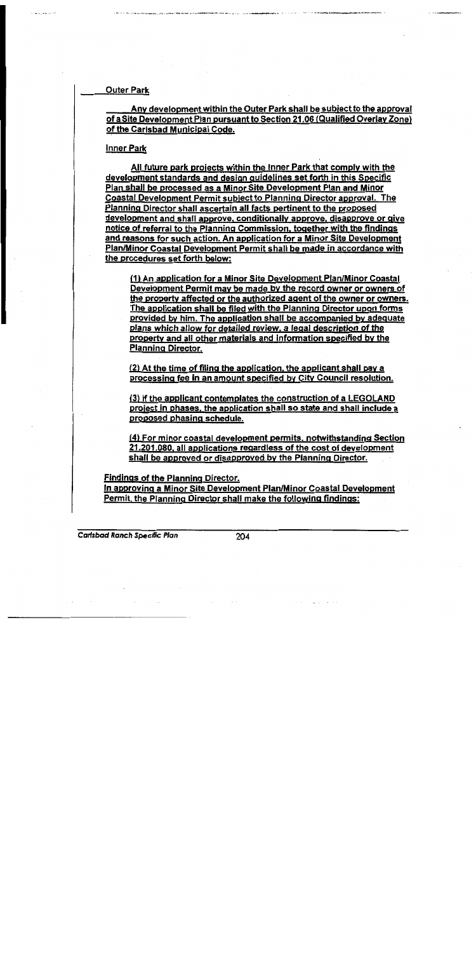**Outer Park** 

Any development within the Outer Park shall be subject to the approval of a Site Development Plan pursuant to Section 21.06 (Qualified Overlay Zone) of the Carlsbad Municipal Code.

#### **Inner Park**

All future park projects within the Inner Park that comply with the development standards and design guidelines set forth in this Specific Plan shall be processed as a Minor Site Development Plan and Minor Coastal Development Permit subject to Planning Director approval. The Planning Director shall ascertain all facts pertinent to the proposed development and shall approve, conditionally approve, disapprove or give notice of referral to the Planning Commission, together with the findings and reasons for such action. An application for a Minor Site Development Plan/Minor Coastal Development Permit shall be made in accordance with the procedures set forth below:

(1) An application for a Minor Site Development Plan/Minor Coastal Development Permit may be made by the record owner or owners of the property affected or the authorized agent of the owner or owners. The application shall be filed with the Planning Director upon forms provided by him. The application shall be accompanied by adequate plans which allow for detailed review, a legal description of the property and all other materials and information specified by the **Planning Director.** 

(2) At the time of filing the application, the applicant shall pay a processing fee in an amount specified by City Council resolution.

(3) If the applicant contemplates the construction of a LEGOLAND project in phases, the application shall so state and shall include a proposed phasing schedule.

(4) For minor coastal development permits, notwithstanding Section 21.201.080, all applications regardless of the cost of development shall be approved or disapproved by the Planning Director.

**Findings of the Planning Director.** 

In approving a Minor Site Development Plan/Minor Coastal Development Permit, the Planning Director shall make the following findings: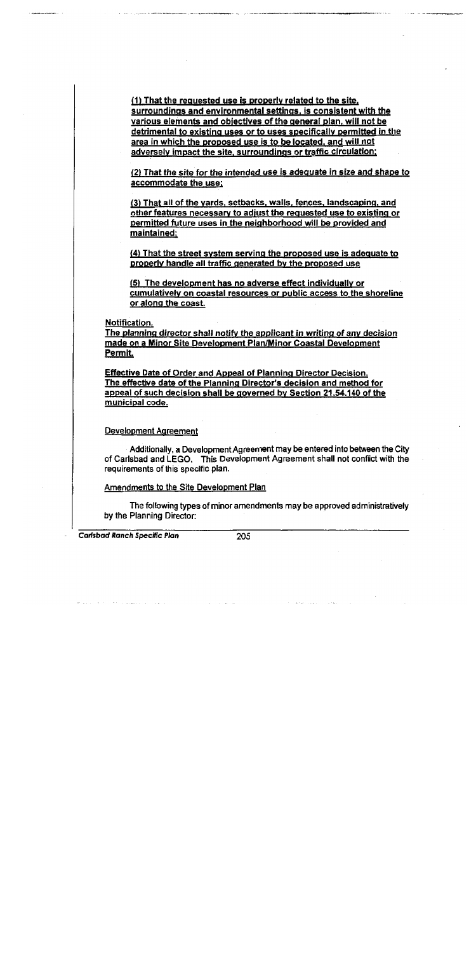(1) That the requested use is properly related to the site. surroundings and environmental settings, is consistent with the various elements and objectives of the general plan, will not be detrimental to existing uses or to uses specifically permitted in the area in which the proposed use is to be located, and will not adversely impact the site, surroundings or traffic circulation;

(2) That the site for the intended use is adequate in size and shape to accommodate the use;

(3) That all of the yards, setbacks, walls, fences, landscaping, and other features necessary to adjust the requested use to existing or permitted future uses in the neighborhood will be provided and maintained:

(4) That the street system serving the proposed use is adequate to properly handle all traffic generated by the proposed use

(5) The development has no adverse effect individually or cumulatively on coastal resources or public access to the shoreline or along the coast.

Notification.

The planning director shall notify the applicant in writing of any decision made on a Minor Site Development Plan/Minor Coastal Development Permit.

**Effective Date of Order and Appeal of Planning Director Decision.** The effective date of the Planning Director's decision and method for appeal of such decision shall be governed by Section 21.54.140 of the municipal code.

**Development Agreement** 

Additionally, a Development Agreement may be entered into between the City of Carlsbad and LEGO. This Development Agreement shall not conflict with the requirements of this specific plan.

Amendments to the Site Development Plan

The following types of minor amendments may be approved administratively by the Planning Director: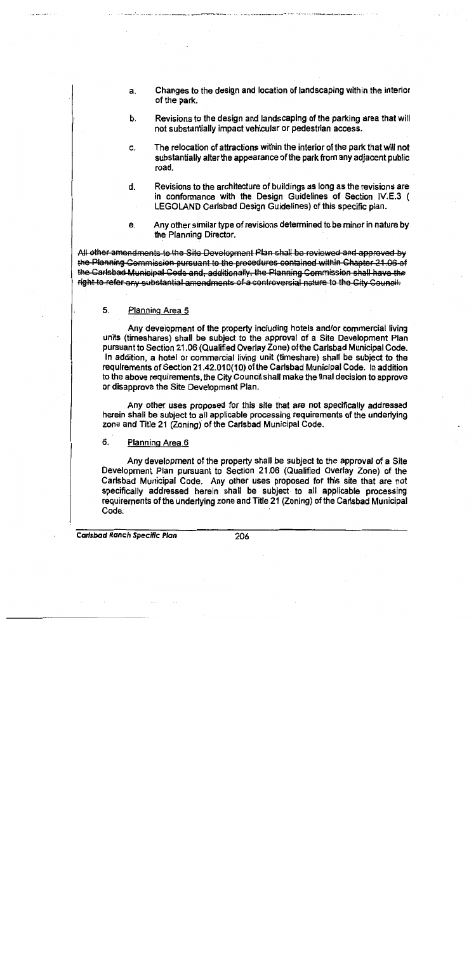- Changes to the design and location of landscaping within the interior  $a.$ of the park.
- Revisions to the design and landscaping of the parking area that will b. not substantially impact vehicular or pedestrian access.
- The relocation of attractions within the interior of the park that will not C. substantially alter the appearance of the park from any adjacent public road.
- Revisions to the architecture of buildings as long as the revisions are đ. in conformance with the Design Guidelines of Section IV.E.3 ( LEGOLAND Carlsbad Design Guidelines) of this specific plan.
- e. Any other similar type of revisions determined to be minor in nature by the Planning Director.

All other amendments to the Site Development Plan shall be reviewed and approved by the Planning Commission pursuant to the procedures contained within Chapter 21.06 of the Carlsbad Municipal Code and, additionally, the Planning Commission shall have the right to refer any substantial amendments of a controversial nature to the City Council.

#### 5. Planning Area 5

Any development of the property including hotels and/or commercial living units (timeshares) shall be subject to the approval of a Site Development Plan pursuant to Section 21.06 (Qualified Overlay Zone) of the Carlsbad Municipal Code. In addition, a hotel or commercial living unit (timeshare) shall be subject to the requirements of Section 21.42.010(10) of the Carlsbad Municipal Code. In addition to the above requirements, the City Council shall make the final decision to approve or disapprove the Site Development Plan.

Any other uses proposed for this site that are not specifically addressed herein shall be subject to all applicable processing requirements of the underlying zone and Title 21 (Zoning) of the Carlsbad Municipal Code.

#### 6. Planning Area 6

Any development of the property shall be subject to the approval of a Site Development Plan pursuant to Section 21.06 (Qualified Overlay Zone) of the Carlsbad Municipal Code. Any other uses proposed for this site that are not specifically addressed herein shall be subject to all applicable processing requirements of the underlying zone and Title 21 (Zoning) of the Carlsbad Municipal Code.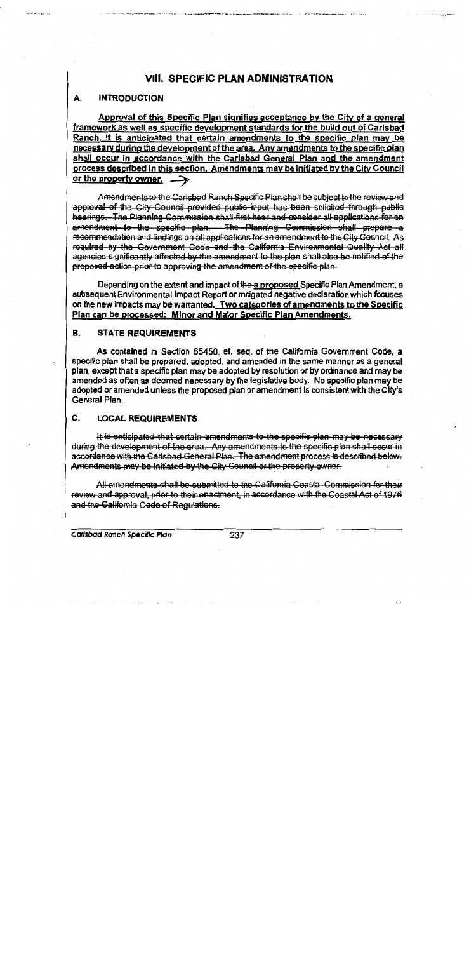# **VIII. SPECIFIC PLAN ADMINISTRATION**

#### А. **INTRODUCTION**

Approval of this Specific Plan signifies acceptance by the City of a general framework as well as specific development standards for the build out of Carlsbad Ranch. It is anticipated that certain amendments to the specific plan may be necessary during the development of the area. Any amendments to the specific plan shall occur in accordance with the Carlsbad General Plan and the amendment process described in this section. Amendments may be initiated by the City Council or the property owner.  $\rightarrow$ 

Amendments to the Carlsbad Ranch Specific Plan shall be subject to the review and approval of the City Council provided public input has been solicited through public hearings. The Planning Commission shall first hear and consider all applications for an amendment to the specific plan. The Planning Commission shall prepare a recommendation and findings on all applications for an amendment to the City Council. As required by the Government Code and the California Environmental Quality Act all agencies significantly affected by the amendment to the plan shall also be notified of the proposed action prior to approving the amendment of the specific plan.

Depending on the extent and impact of the a proposed Specific Plan Amendment, a subsequent Environmental Impact Report or mitigated negative declaration which focuses on the new impacts may be warranted. Two categories of amendments to the Specific Plan can be processed: Minor and Maior Specific Plan Amendments.

#### **B. STATE REQUIREMENTS**

As contained in Section 65450, et. seq. of the California Government Code, a specific plan shall be prepared, adopted, and amended in the same manner as a general plan, except that a specific plan may be adopted by resolution or by ordinance and may be amended as often as deemed necessary by the legislative body. No specific plan may be adopted or amended unless the proposed plan or amendment is consistent with the City's General Plan.

#### C. **LOCAL REQUIREMENTS**

It is anticipated that certain amendments to the specific plan may be necessary during the development of the area. Any amendments to the specific plan shall occur in assordance with the Carlsbad General Plan. The amendment process is described below. Amendments may be initiated by the City Council or the property owner.

All amendments shall be submitted to the California Coastal Commission for their review and approval, prior to their enactment, in accordance with the Coastal Act of 1976 and the California Code of Regulations.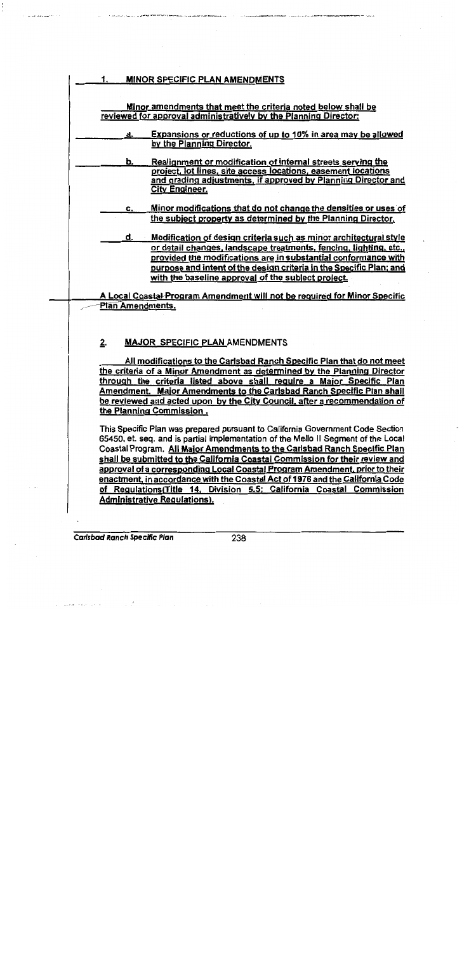| <b>MINOR SPECIFIC PLAN AMENDMENTS</b><br>1.                                                                                                                                                                                                                                                                                                                                                                                                                                                                                                                                |
|----------------------------------------------------------------------------------------------------------------------------------------------------------------------------------------------------------------------------------------------------------------------------------------------------------------------------------------------------------------------------------------------------------------------------------------------------------------------------------------------------------------------------------------------------------------------------|
| Minor amendments that meet the criteria noted below shall be<br>reviewed for approval administratively by the Planning Director:                                                                                                                                                                                                                                                                                                                                                                                                                                           |
| Expansions or reductions of up to 10% in area may be allowed<br>a.<br>by the Planning Director.                                                                                                                                                                                                                                                                                                                                                                                                                                                                            |
| Realignment or modification of internal streets serving the<br>b.<br>project, lot lines, site access locations, easement locations<br>and grading adjustments, if approved by Planning Director and<br><b>City Engineer.</b>                                                                                                                                                                                                                                                                                                                                               |
| Minor modifications that do not change the densities or uses of<br>c.<br>the subject property as determined by the Planning Director.                                                                                                                                                                                                                                                                                                                                                                                                                                      |
| <b>Modification of design criteria such as minor architectural style</b><br>d.<br>or detail changes, landscape treatments, fencing, lighting, etc.,<br>provided the modifications are in substantial conformance with<br>purpose and intent of the design criteria in the Specific Plan; and<br>with the baseline approval of the subject project.                                                                                                                                                                                                                         |
| A Local Coastal Program Amendment will not be required for Minor Specific                                                                                                                                                                                                                                                                                                                                                                                                                                                                                                  |
| Plan Amendments.                                                                                                                                                                                                                                                                                                                                                                                                                                                                                                                                                           |
| 2.<br><b>MAJOR SPECIFIC PLAN AMENDMENTS</b>                                                                                                                                                                                                                                                                                                                                                                                                                                                                                                                                |
| All modifications to the Carlsbad Ranch Specific Plan that do not meet<br>the criteria of a Minor Amendment as determined by the Planning Director<br>through the criteria listed above shall require a Major Specific Plan<br>Amendment. Major Amendments to the Carlsbad Ranch Specific Plan shall<br>be reviewed and acted upon by the City Council, after a recommendation of<br>the Planning Commission.                                                                                                                                                              |
| This Specific Plan was prepared pursuant to California Government Code Section<br>65450, et. seq. and is partial implementation of the Mello II Segment of the Local<br>Coastal Program. All Major Amendments to the Carlsbad Ranch Specific Plan<br>shall be submitted to the California Coastal Commission for their review and<br>approval of a corresponding Local Coastal Program Amendment, prior to their<br>enactment, in accordance with the Coastal Act of 1976 and the California Code<br>of Regulations (Title 14, Division 5.5; California Coastal Commission |
| <b>Administrative Requiations).</b>                                                                                                                                                                                                                                                                                                                                                                                                                                                                                                                                        |